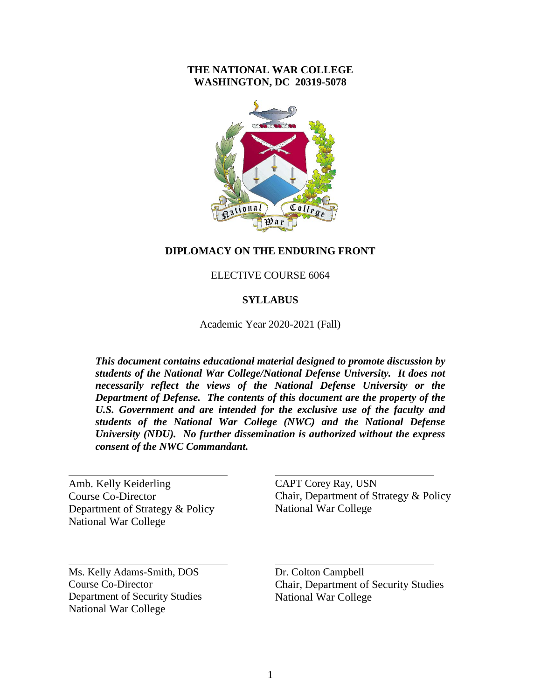#### **THE NATIONAL WAR COLLEGE WASHINGTON, DC 20319-5078**



#### **DIPLOMACY ON THE ENDURING FRONT**

#### ELECTIVE COURSE 6064

#### **SYLLABUS**

Academic Year 2020-2021 (Fall)

*This document contains educational material designed to promote discussion by students of the National War College/National Defense University. It does not necessarily reflect the views of the National Defense University or the Department of Defense. The contents of this document are the property of the U.S. Government and are intended for the exclusive use of the faculty and students of the National War College (NWC) and the National Defense University (NDU). No further dissemination is authorized without the express consent of the NWC Commandant.*

Amb. Kelly Keiderling Course Co-Director Department of Strategy & Policy National War College

CAPT Corey Ray, USN Chair, Department of Strategy & Policy National War College

Ms. Kelly Adams-Smith, DOS Course Co-Director Department of Security Studies National War College

Dr. Colton Campbell Chair, Department of Security Studies National War College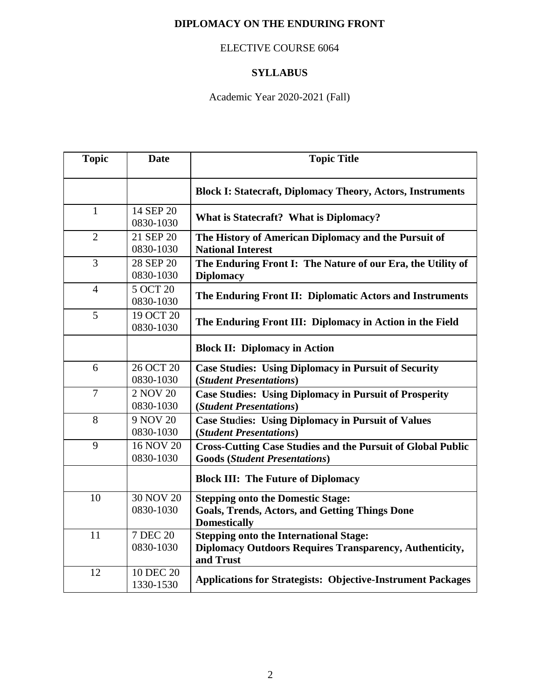## **DIPLOMACY ON THE ENDURING FRONT**

### ELECTIVE COURSE 6064

### **SYLLABUS**

### Academic Year 2020-2021 (Fall)

| <b>Topic</b>   | <b>Date</b>                   | <b>Topic Title</b>                                                                                                           |  |
|----------------|-------------------------------|------------------------------------------------------------------------------------------------------------------------------|--|
|                |                               | <b>Block I: Statecraft, Diplomacy Theory, Actors, Instruments</b>                                                            |  |
| $\mathbf{1}$   | 14 SEP 20<br>0830-1030        | What is Statecraft? What is Diplomacy?                                                                                       |  |
| $\overline{2}$ | 21 SEP 20<br>0830-1030        | The History of American Diplomacy and the Pursuit of<br><b>National Interest</b>                                             |  |
| 3              | 28 SEP 20<br>0830-1030        | The Enduring Front I: The Nature of our Era, the Utility of<br><b>Diplomacy</b>                                              |  |
| $\overline{4}$ | 5 OCT 20<br>0830-1030         | The Enduring Front II: Diplomatic Actors and Instruments                                                                     |  |
| 5              | 19 OCT 20<br>0830-1030        | The Enduring Front III: Diplomacy in Action in the Field                                                                     |  |
|                |                               | <b>Block II: Diplomacy in Action</b>                                                                                         |  |
| 6              | 26 OCT 20<br>0830-1030        | <b>Case Studies: Using Diplomacy in Pursuit of Security</b><br>(Student Presentations)                                       |  |
| 7              | 2 NOV 20<br>0830-1030         | <b>Case Studies: Using Diplomacy in Pursuit of Prosperity</b><br>(Student Presentations)                                     |  |
| 8              | 9 NOV 20<br>0830-1030         | <b>Case Studies: Using Diplomacy in Pursuit of Values</b><br>(Student Presentations)                                         |  |
| 9              | 16 NOV 20<br>0830-1030        | <b>Cross-Cutting Case Studies and the Pursuit of Global Public</b><br><b>Goods (Student Presentations)</b>                   |  |
|                |                               | <b>Block III: The Future of Diplomacy</b>                                                                                    |  |
| 10             | <b>30 NOV 20</b><br>0830-1030 | <b>Stepping onto the Domestic Stage:</b><br><b>Goals, Trends, Actors, and Getting Things Done</b><br><b>Domestically</b>     |  |
| 11             | 7 DEC 20<br>0830-1030         | <b>Stepping onto the International Stage:</b><br><b>Diplomacy Outdoors Requires Transparency, Authenticity,</b><br>and Trust |  |
| 12             | 10 DEC 20<br>1330-1530        | <b>Applications for Strategists: Objective-Instrument Packages</b>                                                           |  |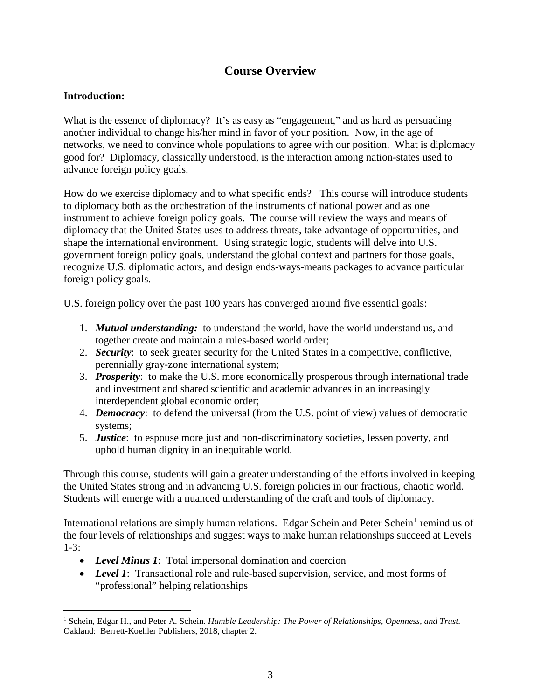## **Course Overview**

### **Introduction:**

What is the essence of diplomacy? It's as easy as "engagement," and as hard as persuading another individual to change his/her mind in favor of your position. Now, in the age of networks, we need to convince whole populations to agree with our position. What is diplomacy good for? Diplomacy, classically understood, is the interaction among nation-states used to advance foreign policy goals.

How do we exercise diplomacy and to what specific ends? This course will introduce students to diplomacy both as the orchestration of the instruments of national power and as one instrument to achieve foreign policy goals. The course will review the ways and means of diplomacy that the United States uses to address threats, take advantage of opportunities, and shape the international environment. Using strategic logic, students will delve into U.S. government foreign policy goals, understand the global context and partners for those goals, recognize U.S. diplomatic actors, and design ends-ways-means packages to advance particular foreign policy goals.

U.S. foreign policy over the past 100 years has converged around five essential goals:

- 1. *Mutual understanding:* to understand the world, have the world understand us, and together create and maintain a rules-based world order;
- 2. *Security*: to seek greater security for the United States in a competitive, conflictive, perennially gray-zone international system;
- 3. *Prosperity*: to make the U.S. more economically prosperous through international trade and investment and shared scientific and academic advances in an increasingly interdependent global economic order;
- 4. *Democracy*: to defend the universal (from the U.S. point of view) values of democratic systems;
- 5. *Justice*: to espouse more just and non-discriminatory societies, lessen poverty, and uphold human dignity in an inequitable world.

Through this course, students will gain a greater understanding of the efforts involved in keeping the United States strong and in advancing U.S. foreign policies in our fractious, chaotic world. Students will emerge with a nuanced understanding of the craft and tools of diplomacy.

International relations are simply human relations. Edgar Schein and Peter Schein<sup>[1](#page-2-0)</sup> remind us of the four levels of relationships and suggest ways to make human relationships succeed at Levels 1-3:

- *Level Minus 1*: Total impersonal domination and coercion
- *Level 1*: Transactional role and rule-based supervision, service, and most forms of "professional" helping relationships

<span id="page-2-0"></span> <sup>1</sup> Schein, Edgar H., and Peter A. Schein. *Humble Leadership: The Power of Relationships, Openness, and Trust*. Oakland: Berrett-Koehler Publishers, 2018, chapter 2.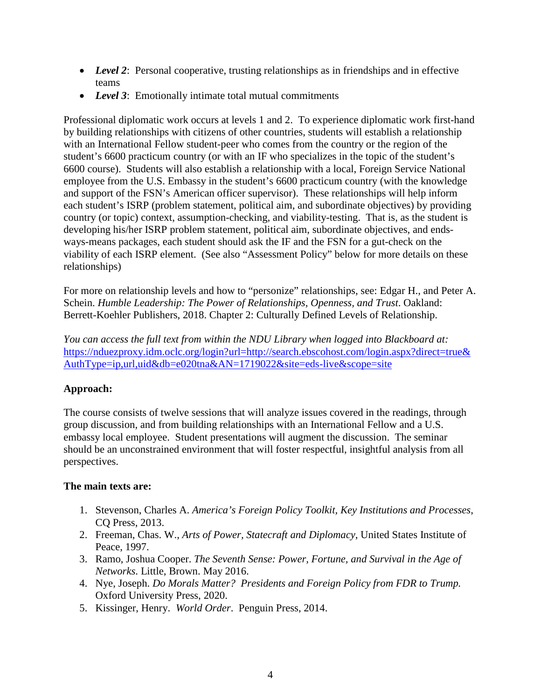- *Level 2*: Personal cooperative, trusting relationships as in friendships and in effective teams
- *Level 3*: Emotionally intimate total mutual commitments

Professional diplomatic work occurs at levels 1 and 2. To experience diplomatic work first-hand by building relationships with citizens of other countries, students will establish a relationship with an International Fellow student-peer who comes from the country or the region of the student's 6600 practicum country (or with an IF who specializes in the topic of the student's 6600 course). Students will also establish a relationship with a local, Foreign Service National employee from the U.S. Embassy in the student's 6600 practicum country (with the knowledge and support of the FSN's American officer supervisor). These relationships will help inform each student's ISRP (problem statement, political aim, and subordinate objectives) by providing country (or topic) context, assumption-checking, and viability-testing. That is, as the student is developing his/her ISRP problem statement, political aim, subordinate objectives, and endsways-means packages, each student should ask the IF and the FSN for a gut-check on the viability of each ISRP element. (See also "Assessment Policy" below for more details on these relationships)

For more on relationship levels and how to "personize" relationships, see: Edgar H., and Peter A. Schein. *Humble Leadership: The Power of Relationships, Openness, and Trust*. Oakland: Berrett-Koehler Publishers, 2018. Chapter 2: Culturally Defined Levels of Relationship.

*You can access the full text from within the NDU Library when logged into Blackboard at:* [https://nduezproxy.idm.oclc.org/login?url=http://search.ebscohost.com/login.aspx?direct=true&](https://nduezproxy.idm.oclc.org/login?url=http://search.ebscohost.com/login.aspx?direct=true&AuthType=ip,url,uid&db=e020tna&AN=1719022&site=eds-live&scope=site) [AuthType=ip,url,uid&db=e020tna&AN=1719022&site=eds-live&scope=site](https://nduezproxy.idm.oclc.org/login?url=http://search.ebscohost.com/login.aspx?direct=true&AuthType=ip,url,uid&db=e020tna&AN=1719022&site=eds-live&scope=site)

## **Approach:**

The course consists of twelve sessions that will analyze issues covered in the readings, through group discussion, and from building relationships with an International Fellow and a U.S. embassy local employee. Student presentations will augment the discussion. The seminar should be an unconstrained environment that will foster respectful, insightful analysis from all perspectives.

### **The main texts are:**

- 1. Stevenson, Charles A. *America's Foreign Policy Toolkit, Key Institutions and Processes*, CQ Press, 2013.
- 2. Freeman, Chas. W., *Arts of Power, Statecraft and Diplomacy*, United States Institute of Peace, 1997.
- 3. Ramo, Joshua Cooper. *The Seventh Sense: Power, Fortune, and Survival in the Age of Networks*. Little, Brown. May 2016.
- 4. Nye, Joseph. *Do Morals Matter? Presidents and Foreign Policy from FDR to Trump.* Oxford University Press, 2020.
- 5. Kissinger, Henry. *World Order*. Penguin Press, 2014.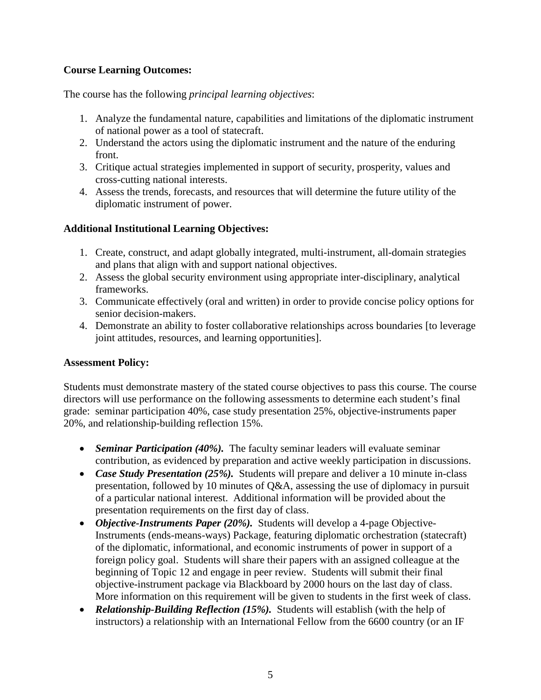### **Course Learning Outcomes:**

The course has the following *principal learning objectives*:

- 1. Analyze the fundamental nature, capabilities and limitations of the diplomatic instrument of national power as a tool of statecraft.
- 2. Understand the actors using the diplomatic instrument and the nature of the enduring front.
- 3. Critique actual strategies implemented in support of security, prosperity, values and cross-cutting national interests.
- 4. Assess the trends, forecasts, and resources that will determine the future utility of the diplomatic instrument of power.

### **Additional Institutional Learning Objectives:**

- 1. Create, construct, and adapt globally integrated, multi-instrument, all-domain strategies and plans that align with and support national objectives.
- 2. Assess the global security environment using appropriate inter-disciplinary, analytical frameworks.
- 3. Communicate effectively (oral and written) in order to provide concise policy options for senior decision-makers.
- 4. Demonstrate an ability to foster collaborative relationships across boundaries [to leverage joint attitudes, resources, and learning opportunities].

### **Assessment Policy:**

Students must demonstrate mastery of the stated course objectives to pass this course. The course directors will use performance on the following assessments to determine each student's final grade: seminar participation 40%, case study presentation 25%, objective-instruments paper 20%, and relationship-building reflection 15%.

- *Seminar Participation (40%)*. The faculty seminar leaders will evaluate seminar contribution, as evidenced by preparation and active weekly participation in discussions.
- *Case Study Presentation (25%).* Students will prepare and deliver a 10 minute in-class presentation, followed by 10 minutes of Q&A, assessing the use of diplomacy in pursuit of a particular national interest. Additional information will be provided about the presentation requirements on the first day of class.
- *Objective-Instruments Paper (20%).* Students will develop a 4-page Objective-Instruments (ends-means-ways) Package, featuring diplomatic orchestration (statecraft) of the diplomatic, informational, and economic instruments of power in support of a foreign policy goal. Students will share their papers with an assigned colleague at the beginning of Topic 12 and engage in peer review. Students will submit their final objective-instrument package via Blackboard by 2000 hours on the last day of class. More information on this requirement will be given to students in the first week of class.
- *Relationship-Building Reflection (15%).* Students will establish (with the help of instructors) a relationship with an International Fellow from the 6600 country (or an IF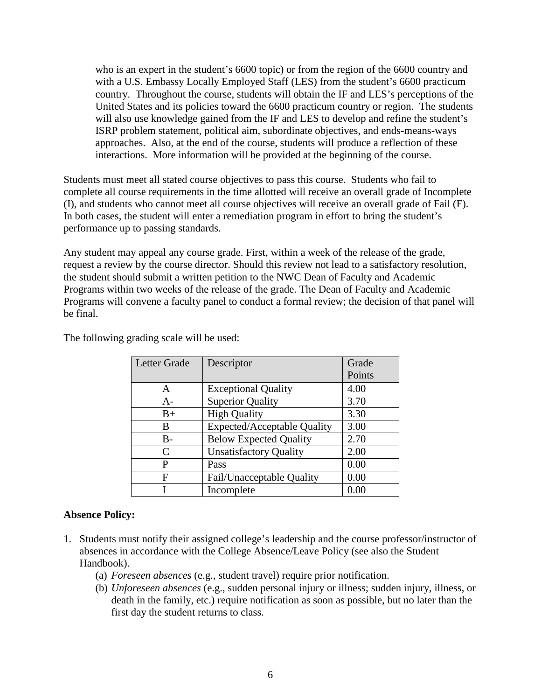who is an expert in the student's 6600 topic) or from the region of the 6600 country and with a U.S. Embassy Locally Employed Staff (LES) from the student's 6600 practicum country. Throughout the course, students will obtain the IF and LES's perceptions of the United States and its policies toward the 6600 practicum country or region. The students will also use knowledge gained from the IF and LES to develop and refine the student's ISRP problem statement, political aim, subordinate objectives, and ends-means-ways approaches. Also, at the end of the course, students will produce a reflection of these interactions. More information will be provided at the beginning of the course.

Students must meet all stated course objectives to pass this course. Students who fail to complete all course requirements in the time allotted will receive an overall grade of Incomplete (I), and students who cannot meet all course objectives will receive an overall grade of Fail (F). In both cases, the student will enter a remediation program in effort to bring the student's performance up to passing standards.

Any student may appeal any course grade. First, within a week of the release of the grade, request a review by the course director. Should this review not lead to a satisfactory resolution, the student should submit a written petition to the NWC Dean of Faculty and Academic Programs within two weeks of the release of the grade. The Dean of Faculty and Academic Programs will convene a faculty panel to conduct a formal review; the decision of that panel will be final.

| Letter Grade | Descriptor                         | Grade  |
|--------------|------------------------------------|--------|
|              |                                    | Points |
| A            | <b>Exceptional Quality</b>         | 4.00   |
| A-           | <b>Superior Quality</b>            | 3.70   |
| $B+$         | <b>High Quality</b>                | 3.30   |
| B            | <b>Expected/Acceptable Quality</b> | 3.00   |
| $B -$        | <b>Below Expected Quality</b>      | 2.70   |
| C            | <b>Unsatisfactory Quality</b>      | 2.00   |
| P            | Pass                               | 0.00   |
| F            | Fail/Unacceptable Quality          | 0.00   |
|              | Incomplete                         | 0.00   |

The following grading scale will be used:

### **Absence Policy:**

- 1. Students must notify their assigned college's leadership and the course professor/instructor of absences in accordance with the College Absence/Leave Policy (see also the Student Handbook).
	- (a) *Foreseen absences* (e.g., student travel) require prior notification.
	- (b) *Unforeseen absences* (e.g., sudden personal injury or illness; sudden injury, illness, or death in the family, etc.) require notification as soon as possible, but no later than the first day the student returns to class.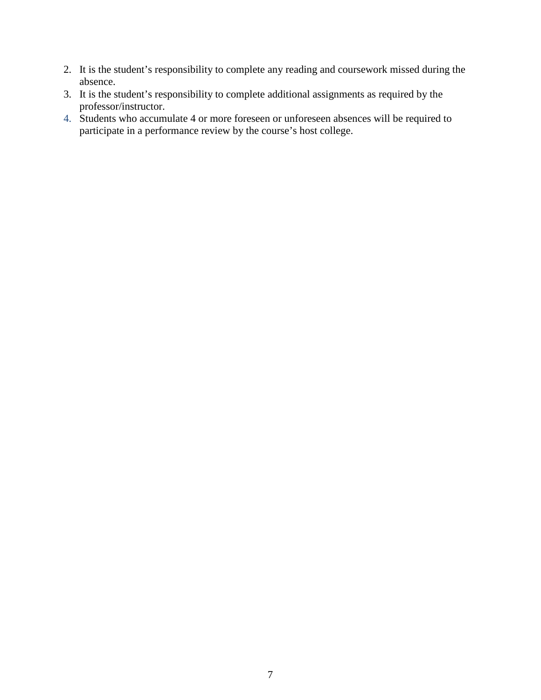- 2. It is the student's responsibility to complete any reading and coursework missed during the absence.
- 3. It is the student's responsibility to complete additional assignments as required by the professor/instructor.
- 4. Students who accumulate 4 or more foreseen or unforeseen absences will be required to participate in a performance review by the course's host college.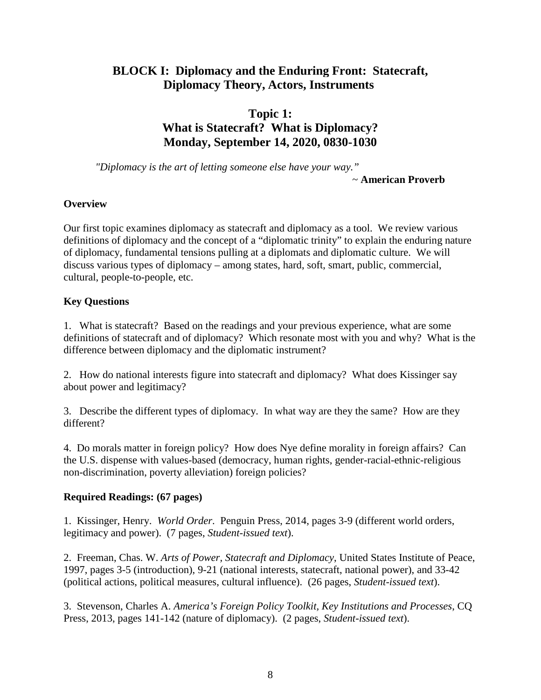# **BLOCK I: Diplomacy and the Enduring Front: Statecraft, Diplomacy Theory, Actors, Instruments**

## **Topic 1: What is Statecraft? What is Diplomacy? Monday, September 14, 2020, 0830-1030**

*"Diplomacy is the art of letting someone else have your way."*

### ~ **American Proverb**

### **Overview**

Our first topic examines diplomacy as statecraft and diplomacy as a tool. We review various definitions of diplomacy and the concept of a "diplomatic trinity" to explain the enduring nature of diplomacy, fundamental tensions pulling at a diplomats and diplomatic culture. We will discuss various types of diplomacy – among states, hard, soft, smart, public, commercial, cultural, people-to-people, etc.

### **Key Questions**

1. What is statecraft? Based on the readings and your previous experience, what are some definitions of statecraft and of diplomacy? Which resonate most with you and why? What is the difference between diplomacy and the diplomatic instrument?

2. How do national interests figure into statecraft and diplomacy? What does Kissinger say about power and legitimacy?

3. Describe the different types of diplomacy. In what way are they the same? How are they different?

4. Do morals matter in foreign policy? How does Nye define morality in foreign affairs? Can the U.S. dispense with values-based (democracy, human rights, gender-racial-ethnic-religious non-discrimination, poverty alleviation) foreign policies?

### **Required Readings: (67 pages)**

1. Kissinger, Henry. *World Order*. Penguin Press, 2014, pages 3-9 (different world orders, legitimacy and power). (7 pages, *Student-issued text*).

2. Freeman, Chas. W. *Arts of Power, Statecraft and Diplomacy*, United States Institute of Peace, 1997, pages 3-5 (introduction), 9-21 (national interests, statecraft, national power), and 33-42 (political actions, political measures, cultural influence). (26 pages, *Student-issued text*).

3. Stevenson, Charles A. *America's Foreign Policy Toolkit, Key Institutions and Processes*, CQ Press, 2013, pages 141-142 (nature of diplomacy). (2 pages, *Student-issued text*).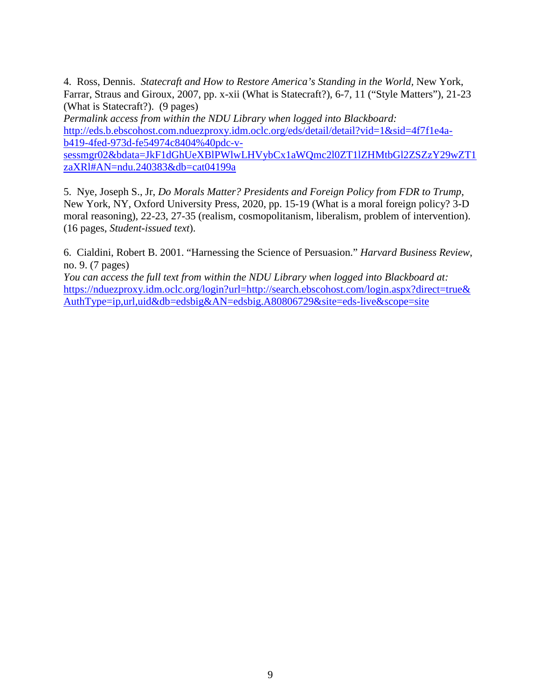4. Ross, Dennis. *Statecraft and How to Restore America's Standing in the World,* New York, Farrar, Straus and Giroux, 2007, pp. x-xii (What is Statecraft?), 6-7, 11 ("Style Matters"), 21-23 (What is Statecraft?). (9 pages)

*Permalink access from within the NDU Library when logged into Blackboard:* [http://eds.b.ebscohost.com.nduezproxy.idm.oclc.org/eds/detail/detail?vid=1&sid=4f7f1e4a](http://eds.b.ebscohost.com.nduezproxy.idm.oclc.org/eds/detail/detail?vid=1&sid=4f7f1e4a-b419-4fed-973d-fe54974c8404%40pdc-v-sessmgr02&bdata=JkF1dGhUeXBlPWlwLHVybCx1aWQmc2l0ZT1lZHMtbGl2ZSZzY29wZT1zaXRl#AN=ndu.240383&db=cat04199a)[b419-4fed-973d-fe54974c8404%40pdc-v](http://eds.b.ebscohost.com.nduezproxy.idm.oclc.org/eds/detail/detail?vid=1&sid=4f7f1e4a-b419-4fed-973d-fe54974c8404%40pdc-v-sessmgr02&bdata=JkF1dGhUeXBlPWlwLHVybCx1aWQmc2l0ZT1lZHMtbGl2ZSZzY29wZT1zaXRl#AN=ndu.240383&db=cat04199a)[sessmgr02&bdata=JkF1dGhUeXBlPWlwLHVybCx1aWQmc2l0ZT1lZHMtbGl2ZSZzY29wZT1](http://eds.b.ebscohost.com.nduezproxy.idm.oclc.org/eds/detail/detail?vid=1&sid=4f7f1e4a-b419-4fed-973d-fe54974c8404%40pdc-v-sessmgr02&bdata=JkF1dGhUeXBlPWlwLHVybCx1aWQmc2l0ZT1lZHMtbGl2ZSZzY29wZT1zaXRl#AN=ndu.240383&db=cat04199a) [zaXRl#AN=ndu.240383&db=cat04199a](http://eds.b.ebscohost.com.nduezproxy.idm.oclc.org/eds/detail/detail?vid=1&sid=4f7f1e4a-b419-4fed-973d-fe54974c8404%40pdc-v-sessmgr02&bdata=JkF1dGhUeXBlPWlwLHVybCx1aWQmc2l0ZT1lZHMtbGl2ZSZzY29wZT1zaXRl#AN=ndu.240383&db=cat04199a)

5. Nye, Joseph S., Jr, *Do Morals Matter? Presidents and Foreign Policy from FDR to Trump*, New York, NY, Oxford University Press, 2020, pp. 15-19 (What is a moral foreign policy? 3-D moral reasoning), 22-23, 27-35 (realism, cosmopolitanism, liberalism, problem of intervention). (16 pages, *Student-issued text*).

6. Cialdini, Robert B. 2001. "Harnessing the Science of Persuasion." *Harvard Business Review*, no. 9. (7 pages)

*You can access the full text from within the NDU Library when logged into Blackboard at:* [https://nduezproxy.idm.oclc.org/login?url=http://search.ebscohost.com/login.aspx?direct=true&](https://nduezproxy.idm.oclc.org/login?url=http://search.ebscohost.com/login.aspx?direct=true&AuthType=ip,url,uid&db=edsbig&AN=edsbig.A80806729&site=eds-live&scope=site) [AuthType=ip,url,uid&db=edsbig&AN=edsbig.A80806729&site=eds-live&scope=site](https://nduezproxy.idm.oclc.org/login?url=http://search.ebscohost.com/login.aspx?direct=true&AuthType=ip,url,uid&db=edsbig&AN=edsbig.A80806729&site=eds-live&scope=site)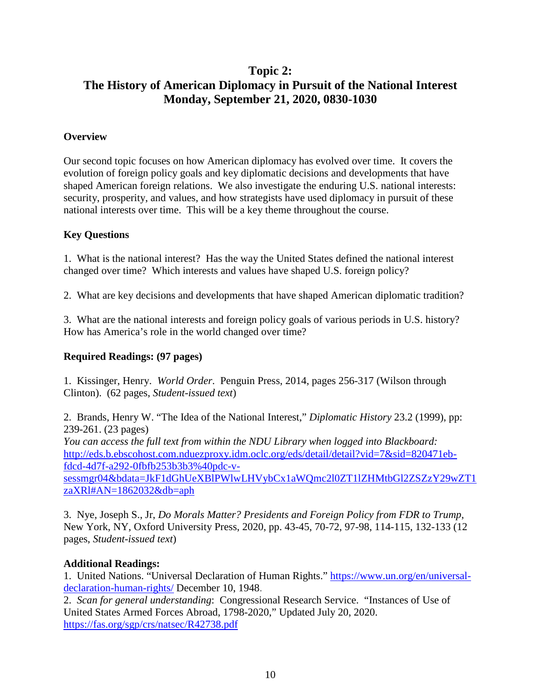## **Topic 2:**

# **The History of American Diplomacy in Pursuit of the National Interest Monday, September 21, 2020, 0830-1030**

### **Overview**

Our second topic focuses on how American diplomacy has evolved over time. It covers the evolution of foreign policy goals and key diplomatic decisions and developments that have shaped American foreign relations. We also investigate the enduring U.S. national interests: security, prosperity, and values, and how strategists have used diplomacy in pursuit of these national interests over time. This will be a key theme throughout the course.

### **Key Questions**

1. What is the national interest? Has the way the United States defined the national interest changed over time? Which interests and values have shaped U.S. foreign policy?

2. What are key decisions and developments that have shaped American diplomatic tradition?

3. What are the national interests and foreign policy goals of various periods in U.S. history? How has America's role in the world changed over time?

## **Required Readings: (97 pages)**

1. Kissinger, Henry. *World Order*. Penguin Press, 2014, pages 256-317 (Wilson through Clinton). (62 pages, *Student-issued text*)

2. Brands, Henry W. "The Idea of the National Interest," *Diplomatic History* 23.2 (1999), pp: 239-261. (23 pages)

*You can access the full text from within the NDU Library when logged into Blackboard:* [http://eds.b.ebscohost.com.nduezproxy.idm.oclc.org/eds/detail/detail?vid=7&sid=820471eb](http://eds.b.ebscohost.com.nduezproxy.idm.oclc.org/eds/detail/detail?vid=7&sid=820471eb-fdcd-4d7f-a292-0fbfb253b3b3%40pdc-v-sessmgr04&bdata=JkF1dGhUeXBlPWlwLHVybCx1aWQmc2l0ZT1lZHMtbGl2ZSZzY29wZT1zaXRl#AN=1862032&db=aph)[fdcd-4d7f-a292-0fbfb253b3b3%40pdc-v-](http://eds.b.ebscohost.com.nduezproxy.idm.oclc.org/eds/detail/detail?vid=7&sid=820471eb-fdcd-4d7f-a292-0fbfb253b3b3%40pdc-v-sessmgr04&bdata=JkF1dGhUeXBlPWlwLHVybCx1aWQmc2l0ZT1lZHMtbGl2ZSZzY29wZT1zaXRl#AN=1862032&db=aph)

[sessmgr04&bdata=JkF1dGhUeXBlPWlwLHVybCx1aWQmc2l0ZT1lZHMtbGl2ZSZzY29wZT1](http://eds.b.ebscohost.com.nduezproxy.idm.oclc.org/eds/detail/detail?vid=7&sid=820471eb-fdcd-4d7f-a292-0fbfb253b3b3%40pdc-v-sessmgr04&bdata=JkF1dGhUeXBlPWlwLHVybCx1aWQmc2l0ZT1lZHMtbGl2ZSZzY29wZT1zaXRl#AN=1862032&db=aph) [zaXRl#AN=1862032&db=aph](http://eds.b.ebscohost.com.nduezproxy.idm.oclc.org/eds/detail/detail?vid=7&sid=820471eb-fdcd-4d7f-a292-0fbfb253b3b3%40pdc-v-sessmgr04&bdata=JkF1dGhUeXBlPWlwLHVybCx1aWQmc2l0ZT1lZHMtbGl2ZSZzY29wZT1zaXRl#AN=1862032&db=aph)

3. Nye, Joseph S., Jr, *Do Morals Matter? Presidents and Foreign Policy from FDR to Trump*, New York, NY, Oxford University Press, 2020, pp. 43-45, 70-72, 97-98, 114-115, 132-133 (12 pages, *Student-issued text*)

### **Additional Readings:**

1. United Nations. "Universal Declaration of Human Rights." [https://www.un.org/en/universal](https://www.un.org/en/universal-declaration-human-rights/)[declaration-human-rights/](https://www.un.org/en/universal-declaration-human-rights/) December 10, 1948.

2. *Scan for general understanding*: Congressional Research Service. "Instances of Use of United States Armed Forces Abroad, 1798-2020," Updated July 20, 2020. <https://fas.org/sgp/crs/natsec/R42738.pdf>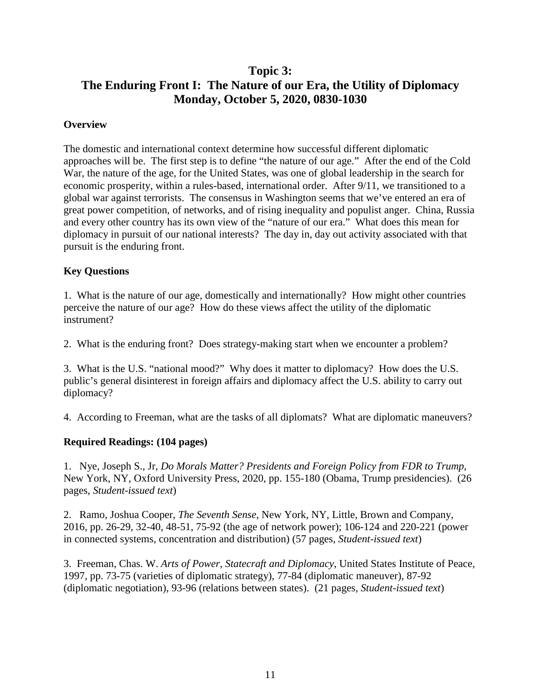## **Topic 3: The Enduring Front I: The Nature of our Era, the Utility of Diplomacy Monday, October 5, 2020, 0830-1030**

### **Overview**

The domestic and international context determine how successful different diplomatic approaches will be. The first step is to define "the nature of our age." After the end of the Cold War, the nature of the age, for the United States, was one of global leadership in the search for economic prosperity, within a rules-based, international order. After 9/11, we transitioned to a global war against terrorists. The consensus in Washington seems that we've entered an era of great power competition, of networks, and of rising inequality and populist anger. China, Russia and every other country has its own view of the "nature of our era." What does this mean for diplomacy in pursuit of our national interests? The day in, day out activity associated with that pursuit is the enduring front.

### **Key Questions**

1. What is the nature of our age, domestically and internationally? How might other countries perceive the nature of our age? How do these views affect the utility of the diplomatic instrument?

2. What is the enduring front? Does strategy-making start when we encounter a problem?

3. What is the U.S. "national mood?" Why does it matter to diplomacy? How does the U.S. public's general disinterest in foreign affairs and diplomacy affect the U.S. ability to carry out diplomacy?

4. According to Freeman, what are the tasks of all diplomats? What are diplomatic maneuvers?

### **Required Readings: (104 pages)**

1. Nye, Joseph S., Jr, *Do Morals Matter? Presidents and Foreign Policy from FDR to Trump*, New York, NY, Oxford University Press, 2020, pp. 155-180 (Obama, Trump presidencies). (26 pages, *Student-issued text*)

2. Ramo, Joshua Cooper, *The Seventh Sense*, New York, NY, Little, Brown and Company, 2016, pp. 26-29, 32-40, 48-51, 75-92 (the age of network power); 106-124 and 220-221 (power in connected systems, concentration and distribution) (57 pages, *Student-issued text*)

3. Freeman, Chas. W. *Arts of Power, Statecraft and Diplomacy*, United States Institute of Peace, 1997, pp. 73-75 (varieties of diplomatic strategy), 77-84 (diplomatic maneuver), 87-92 (diplomatic negotiation), 93-96 (relations between states). (21 pages, *Student-issued text*)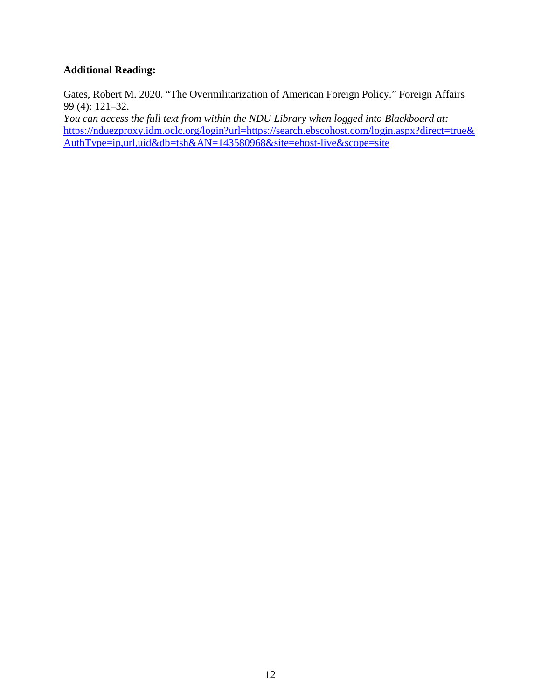### **Additional Reading:**

Gates, Robert M. 2020. "The Overmilitarization of American Foreign Policy." Foreign Affairs 99 (4): 121–32.

*You can access the full text from within the NDU Library when logged into Blackboard at:* [https://nduezproxy.idm.oclc.org/login?url=https://search.ebscohost.com/login.aspx?direct=true&](https://nduezproxy.idm.oclc.org/login?url=https://search.ebscohost.com/login.aspx?direct=true&AuthType=ip,url,uid&db=tsh&AN=143580968&site=ehost-live&scope=site) [AuthType=ip,url,uid&db=tsh&AN=143580968&site=ehost-live&scope=site](https://nduezproxy.idm.oclc.org/login?url=https://search.ebscohost.com/login.aspx?direct=true&AuthType=ip,url,uid&db=tsh&AN=143580968&site=ehost-live&scope=site)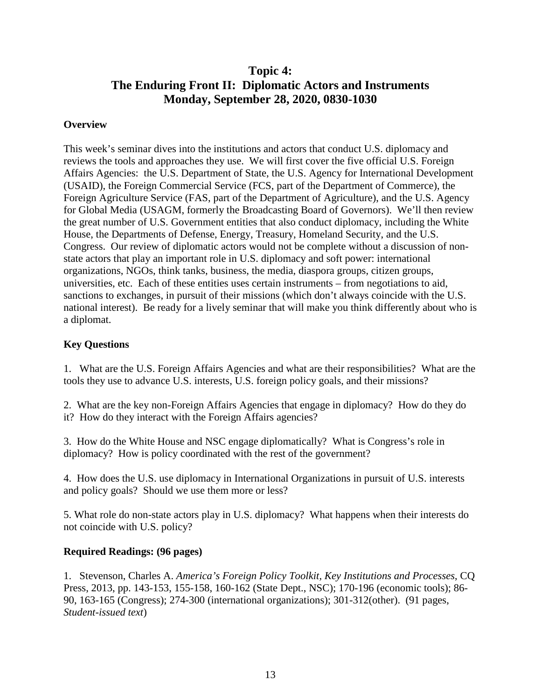# **Topic 4: The Enduring Front II: Diplomatic Actors and Instruments Monday, September 28, 2020, 0830-1030**

### **Overview**

This week's seminar dives into the institutions and actors that conduct U.S. diplomacy and reviews the tools and approaches they use. We will first cover the five official U.S. Foreign Affairs Agencies: the U.S. Department of State, the U.S. Agency for International Development (USAID), the Foreign Commercial Service (FCS, part of the Department of Commerce), the Foreign Agriculture Service (FAS, part of the Department of Agriculture), and the U.S. Agency for Global Media (USAGM, formerly the Broadcasting Board of Governors). We'll then review the great number of U.S. Government entities that also conduct diplomacy, including the White House, the Departments of Defense, Energy, Treasury, Homeland Security, and the U.S. Congress. Our review of diplomatic actors would not be complete without a discussion of nonstate actors that play an important role in U.S. diplomacy and soft power: international organizations, NGOs, think tanks, business, the media, diaspora groups, citizen groups, universities, etc. Each of these entities uses certain instruments – from negotiations to aid, sanctions to exchanges, in pursuit of their missions (which don't always coincide with the U.S. national interest). Be ready for a lively seminar that will make you think differently about who is a diplomat.

### **Key Questions**

1. What are the U.S. Foreign Affairs Agencies and what are their responsibilities? What are the tools they use to advance U.S. interests, U.S. foreign policy goals, and their missions?

2. What are the key non-Foreign Affairs Agencies that engage in diplomacy? How do they do it? How do they interact with the Foreign Affairs agencies?

3. How do the White House and NSC engage diplomatically? What is Congress's role in diplomacy? How is policy coordinated with the rest of the government?

4. How does the U.S. use diplomacy in International Organizations in pursuit of U.S. interests and policy goals? Should we use them more or less?

5. What role do non-state actors play in U.S. diplomacy? What happens when their interests do not coincide with U.S. policy?

### **Required Readings: (96 pages)**

1. Stevenson, Charles A. *America's Foreign Policy Toolkit, Key Institutions and Processes*, CQ Press, 2013, pp. 143-153, 155-158, 160-162 (State Dept., NSC); 170-196 (economic tools); 86- 90, 163-165 (Congress); 274-300 (international organizations); 301-312(other). (91 pages, *Student-issued text*)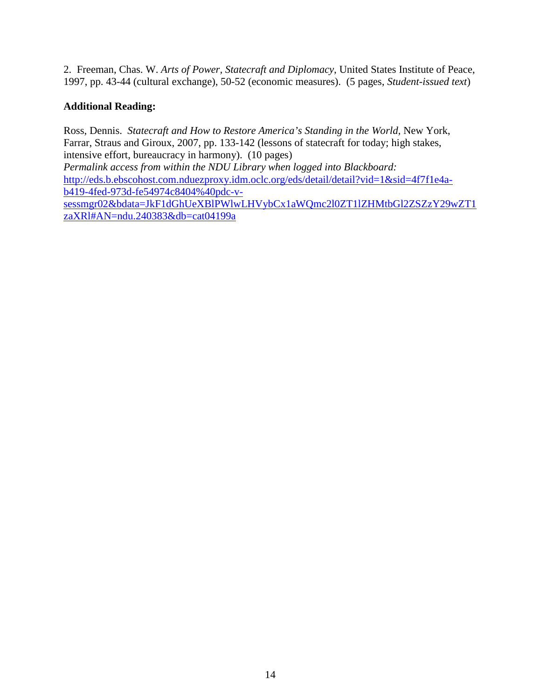2. Freeman, Chas. W. *Arts of Power, Statecraft and Diplomacy*, United States Institute of Peace, 1997, pp. 43-44 (cultural exchange), 50-52 (economic measures). (5 pages, *Student-issued text*)

### **Additional Reading:**

Ross, Dennis. *Statecraft and How to Restore America's Standing in the World,* New York, Farrar, Straus and Giroux, 2007, pp. 133-142 (lessons of statecraft for today; high stakes, intensive effort, bureaucracy in harmony). (10 pages) *Permalink access from within the NDU Library when logged into Blackboard:* [http://eds.b.ebscohost.com.nduezproxy.idm.oclc.org/eds/detail/detail?vid=1&sid=4f7f1e4a](http://eds.b.ebscohost.com.nduezproxy.idm.oclc.org/eds/detail/detail?vid=1&sid=4f7f1e4a-b419-4fed-973d-fe54974c8404%40pdc-v-sessmgr02&bdata=JkF1dGhUeXBlPWlwLHVybCx1aWQmc2l0ZT1lZHMtbGl2ZSZzY29wZT1zaXRl#AN=ndu.240383&db=cat04199a)[b419-4fed-973d-fe54974c8404%40pdc-v](http://eds.b.ebscohost.com.nduezproxy.idm.oclc.org/eds/detail/detail?vid=1&sid=4f7f1e4a-b419-4fed-973d-fe54974c8404%40pdc-v-sessmgr02&bdata=JkF1dGhUeXBlPWlwLHVybCx1aWQmc2l0ZT1lZHMtbGl2ZSZzY29wZT1zaXRl#AN=ndu.240383&db=cat04199a)[sessmgr02&bdata=JkF1dGhUeXBlPWlwLHVybCx1aWQmc2l0ZT1lZHMtbGl2ZSZzY29wZT1](http://eds.b.ebscohost.com.nduezproxy.idm.oclc.org/eds/detail/detail?vid=1&sid=4f7f1e4a-b419-4fed-973d-fe54974c8404%40pdc-v-sessmgr02&bdata=JkF1dGhUeXBlPWlwLHVybCx1aWQmc2l0ZT1lZHMtbGl2ZSZzY29wZT1zaXRl#AN=ndu.240383&db=cat04199a) [zaXRl#AN=ndu.240383&db=cat04199a](http://eds.b.ebscohost.com.nduezproxy.idm.oclc.org/eds/detail/detail?vid=1&sid=4f7f1e4a-b419-4fed-973d-fe54974c8404%40pdc-v-sessmgr02&bdata=JkF1dGhUeXBlPWlwLHVybCx1aWQmc2l0ZT1lZHMtbGl2ZSZzY29wZT1zaXRl#AN=ndu.240383&db=cat04199a)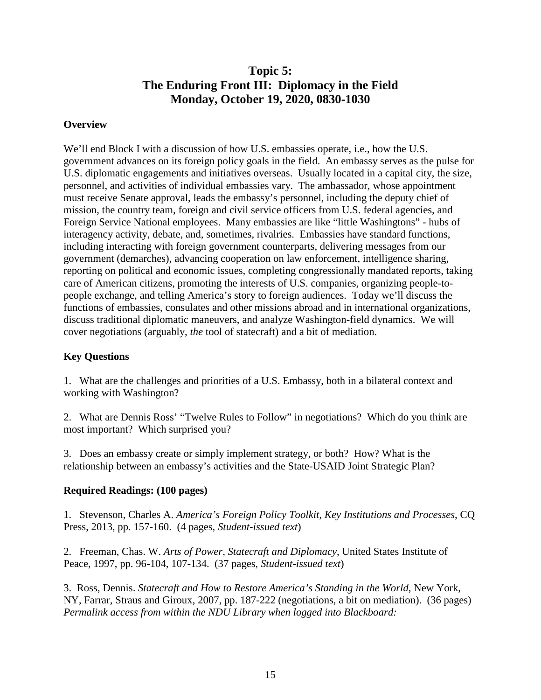# **Topic 5: The Enduring Front III: Diplomacy in the Field Monday, October 19, 2020, 0830-1030**

### **Overview**

We'll end Block I with a discussion of how U.S. embassies operate, *i.e.*, how the U.S. government advances on its foreign policy goals in the field. An embassy serves as the pulse for U.S. diplomatic engagements and initiatives overseas. Usually located in a capital city, the size, personnel, and activities of individual embassies vary. The ambassador, whose appointment must receive Senate approval, leads the embassy's personnel, including the deputy chief of mission, the country team, foreign and civil service officers from U.S. federal agencies, and Foreign Service National employees. Many embassies are like "little Washingtons" - hubs of interagency activity, debate, and, sometimes, rivalries. Embassies have standard functions, including interacting with foreign government counterparts, delivering messages from our government (demarches), advancing cooperation on law enforcement, intelligence sharing, reporting on political and economic issues, completing congressionally mandated reports, taking care of American citizens, promoting the interests of U.S. companies, organizing people-topeople exchange, and telling America's story to foreign audiences. Today we'll discuss the functions of embassies, consulates and other missions abroad and in international organizations, discuss traditional diplomatic maneuvers, and analyze Washington-field dynamics. We will cover negotiations (arguably, *the* tool of statecraft) and a bit of mediation.

### **Key Questions**

1. What are the challenges and priorities of a U.S. Embassy, both in a bilateral context and working with Washington?

2. What are Dennis Ross' "Twelve Rules to Follow" in negotiations? Which do you think are most important? Which surprised you?

3. Does an embassy create or simply implement strategy, or both? How? What is the relationship between an embassy's activities and the State-USAID Joint Strategic Plan?

### **Required Readings: (100 pages)**

1. Stevenson, Charles A. *America's Foreign Policy Toolkit, Key Institutions and Processes*, CQ Press, 2013, pp. 157-160. (4 pages, *Student-issued text*)

2. Freeman, Chas. W. *Arts of Power, Statecraft and Diplomacy*, United States Institute of Peace, 1997, pp. 96-104, 107-134. (37 pages, *Student-issued text*)

3. Ross, Dennis. *Statecraft and How to Restore America's Standing in the World*, New York, NY, Farrar, Straus and Giroux, 2007, pp. 187-222 (negotiations, a bit on mediation). (36 pages) *Permalink access from within the NDU Library when logged into Blackboard:*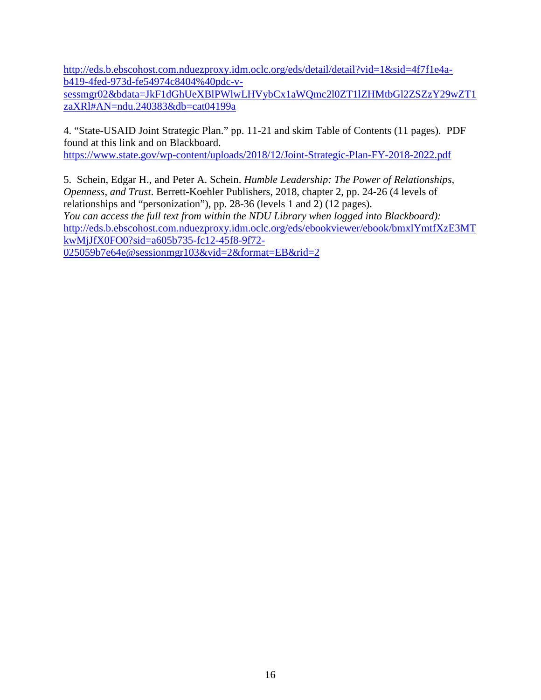[http://eds.b.ebscohost.com.nduezproxy.idm.oclc.org/eds/detail/detail?vid=1&sid=4f7f1e4a](http://eds.b.ebscohost.com.nduezproxy.idm.oclc.org/eds/detail/detail?vid=1&sid=4f7f1e4a-b419-4fed-973d-fe54974c8404%40pdc-v-sessmgr02&bdata=JkF1dGhUeXBlPWlwLHVybCx1aWQmc2l0ZT1lZHMtbGl2ZSZzY29wZT1zaXRl#AN=ndu.240383&db=cat04199a)[b419-4fed-973d-fe54974c8404%40pdc-v](http://eds.b.ebscohost.com.nduezproxy.idm.oclc.org/eds/detail/detail?vid=1&sid=4f7f1e4a-b419-4fed-973d-fe54974c8404%40pdc-v-sessmgr02&bdata=JkF1dGhUeXBlPWlwLHVybCx1aWQmc2l0ZT1lZHMtbGl2ZSZzY29wZT1zaXRl#AN=ndu.240383&db=cat04199a)[sessmgr02&bdata=JkF1dGhUeXBlPWlwLHVybCx1aWQmc2l0ZT1lZHMtbGl2ZSZzY29wZT1](http://eds.b.ebscohost.com.nduezproxy.idm.oclc.org/eds/detail/detail?vid=1&sid=4f7f1e4a-b419-4fed-973d-fe54974c8404%40pdc-v-sessmgr02&bdata=JkF1dGhUeXBlPWlwLHVybCx1aWQmc2l0ZT1lZHMtbGl2ZSZzY29wZT1zaXRl#AN=ndu.240383&db=cat04199a) [zaXRl#AN=ndu.240383&db=cat04199a](http://eds.b.ebscohost.com.nduezproxy.idm.oclc.org/eds/detail/detail?vid=1&sid=4f7f1e4a-b419-4fed-973d-fe54974c8404%40pdc-v-sessmgr02&bdata=JkF1dGhUeXBlPWlwLHVybCx1aWQmc2l0ZT1lZHMtbGl2ZSZzY29wZT1zaXRl#AN=ndu.240383&db=cat04199a)

4. "State-USAID Joint Strategic Plan." pp. 11-21 and skim Table of Contents (11 pages). PDF found at this link and on Blackboard. <https://www.state.gov/wp-content/uploads/2018/12/Joint-Strategic-Plan-FY-2018-2022.pdf>

5. Schein, Edgar H., and Peter A. Schein. *Humble Leadership: The Power of Relationships, Openness, and Trust*. Berrett-Koehler Publishers, 2018, chapter 2, pp. 24-26 (4 levels of relationships and "personization"), pp. 28-36 (levels 1 and 2) (12 pages). *You can access the full text from within the NDU Library when logged into Blackboard):* [http://eds.b.ebscohost.com.nduezproxy.idm.oclc.org/eds/ebookviewer/ebook/bmxlYmtfXzE3MT](http://eds.b.ebscohost.com.nduezproxy.idm.oclc.org/eds/ebookviewer/ebook/bmxlYmtfXzE3MTkwMjJfX0FO0?sid=a605b735-fc12-45f8-9f72-025059b7e64e@sessionmgr103&vid=2&format=EB&rid=2) [kwMjJfX0FO0?sid=a605b735-fc12-45f8-9f72-](http://eds.b.ebscohost.com.nduezproxy.idm.oclc.org/eds/ebookviewer/ebook/bmxlYmtfXzE3MTkwMjJfX0FO0?sid=a605b735-fc12-45f8-9f72-025059b7e64e@sessionmgr103&vid=2&format=EB&rid=2) [025059b7e64e@sessionmgr103&vid=2&format=EB&rid=2](http://eds.b.ebscohost.com.nduezproxy.idm.oclc.org/eds/ebookviewer/ebook/bmxlYmtfXzE3MTkwMjJfX0FO0?sid=a605b735-fc12-45f8-9f72-025059b7e64e@sessionmgr103&vid=2&format=EB&rid=2)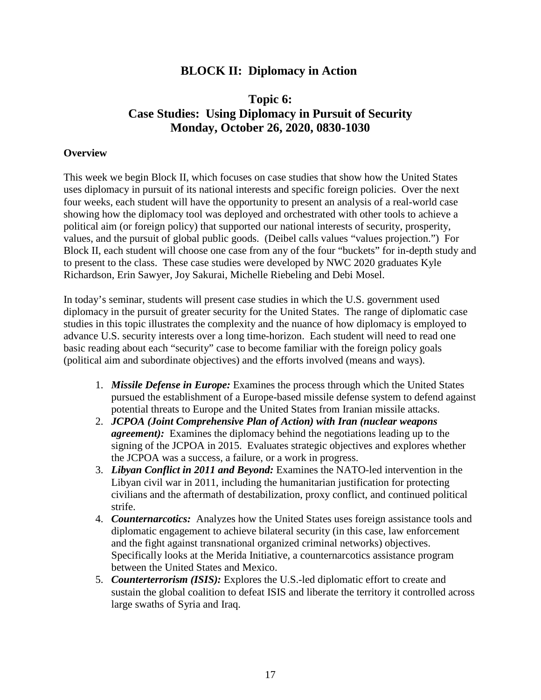## **BLOCK II: Diplomacy in Action**

## **Topic 6: Case Studies: Using Diplomacy in Pursuit of Security Monday, October 26, 2020, 0830-1030**

### **Overview**

This week we begin Block II, which focuses on case studies that show how the United States uses diplomacy in pursuit of its national interests and specific foreign policies. Over the next four weeks, each student will have the opportunity to present an analysis of a real-world case showing how the diplomacy tool was deployed and orchestrated with other tools to achieve a political aim (or foreign policy) that supported our national interests of security, prosperity, values, and the pursuit of global public goods. (Deibel calls values "values projection.") For Block II, each student will choose one case from any of the four "buckets" for in-depth study and to present to the class. These case studies were developed by NWC 2020 graduates Kyle Richardson, Erin Sawyer, Joy Sakurai, Michelle Riebeling and Debi Mosel.

In today's seminar, students will present case studies in which the U.S. government used diplomacy in the pursuit of greater security for the United States. The range of diplomatic case studies in this topic illustrates the complexity and the nuance of how diplomacy is employed to advance U.S. security interests over a long time-horizon. Each student will need to read one basic reading about each "security" case to become familiar with the foreign policy goals (political aim and subordinate objectives) and the efforts involved (means and ways).

- 1. *Missile Defense in Europe:* Examines the process through which the United States pursued the establishment of a Europe-based missile defense system to defend against potential threats to Europe and the United States from Iranian missile attacks.
- 2. *JCPOA (Joint Comprehensive Plan of Action) with Iran (nuclear weapons agreement):* Examines the diplomacy behind the negotiations leading up to the signing of the JCPOA in 2015. Evaluates strategic objectives and explores whether the JCPOA was a success, a failure, or a work in progress.
- 3. *Libyan Conflict in 2011 and Beyond:* Examines the NATO-led intervention in the Libyan civil war in 2011, including the humanitarian justification for protecting civilians and the aftermath of destabilization, proxy conflict, and continued political strife.
- 4. *Counternarcotics:* Analyzes how the United States uses foreign assistance tools and diplomatic engagement to achieve bilateral security (in this case, law enforcement and the fight against transnational organized criminal networks) objectives. Specifically looks at the Merida Initiative, a counternarcotics assistance program between the United States and Mexico.
- 5. *Counterterrorism (ISIS):* Explores the U.S.-led diplomatic effort to create and sustain the global coalition to defeat ISIS and liberate the territory it controlled across large swaths of Syria and Iraq.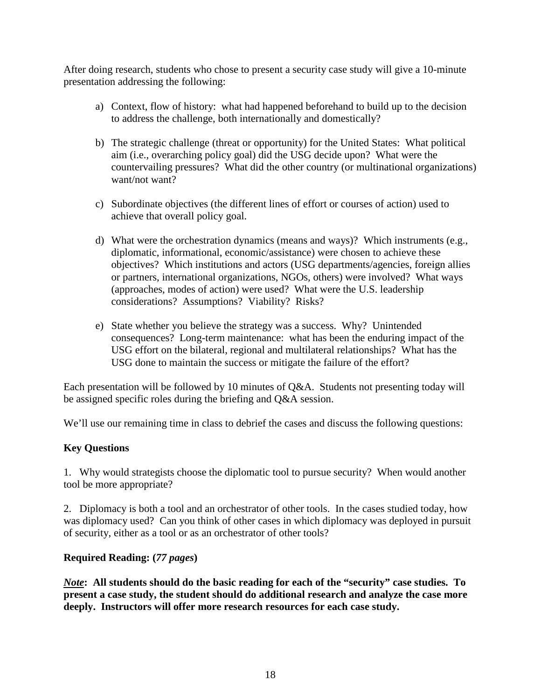After doing research, students who chose to present a security case study will give a 10-minute presentation addressing the following:

- a) Context, flow of history: what had happened beforehand to build up to the decision to address the challenge, both internationally and domestically?
- b) The strategic challenge (threat or opportunity) for the United States: What political aim (i.e., overarching policy goal) did the USG decide upon? What were the countervailing pressures? What did the other country (or multinational organizations) want/not want?
- c) Subordinate objectives (the different lines of effort or courses of action) used to achieve that overall policy goal.
- d) What were the orchestration dynamics (means and ways)? Which instruments (e.g., diplomatic, informational, economic/assistance) were chosen to achieve these objectives? Which institutions and actors (USG departments/agencies, foreign allies or partners, international organizations, NGOs, others) were involved? What ways (approaches, modes of action) were used? What were the U.S. leadership considerations? Assumptions? Viability? Risks?
- e) State whether you believe the strategy was a success. Why? Unintended consequences? Long-term maintenance: what has been the enduring impact of the USG effort on the bilateral, regional and multilateral relationships? What has the USG done to maintain the success or mitigate the failure of the effort?

Each presentation will be followed by 10 minutes of Q&A. Students not presenting today will be assigned specific roles during the briefing and Q&A session.

We'll use our remaining time in class to debrief the cases and discuss the following questions:

### **Key Questions**

1. Why would strategists choose the diplomatic tool to pursue security? When would another tool be more appropriate?

2. Diplomacy is both a tool and an orchestrator of other tools. In the cases studied today, how was diplomacy used? Can you think of other cases in which diplomacy was deployed in pursuit of security, either as a tool or as an orchestrator of other tools?

### **Required Reading: (***77 pages***)**

*Note***: All students should do the basic reading for each of the "security" case studies. To present a case study, the student should do additional research and analyze the case more deeply. Instructors will offer more research resources for each case study.**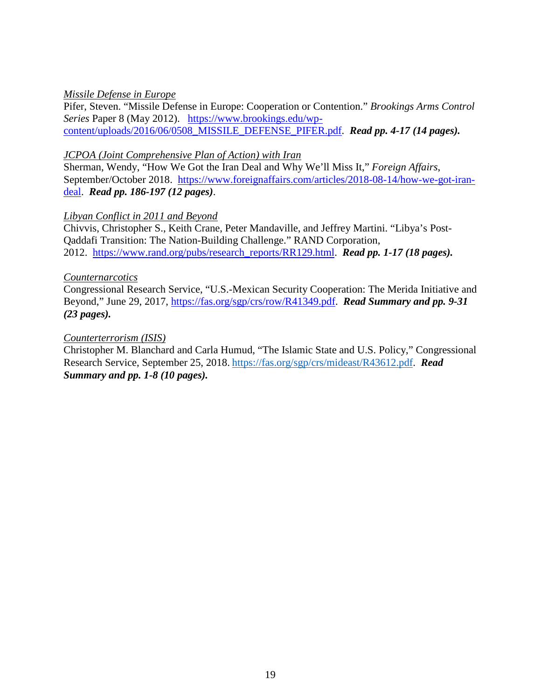### *Missile Defense in Europe*

Pifer, Steven. "Missile Defense in Europe: Cooperation or Contention." *Brookings Arms Control Series* Paper 8 (May 2012). [https://www.brookings.edu/wp](https://www.brookings.edu/wp-content/uploads/2016/06/0508_MISSILE_DEFENSE_PIFER.pdf)[content/uploads/2016/06/0508\\_MISSILE\\_DEFENSE\\_PIFER.pdf.](https://www.brookings.edu/wp-content/uploads/2016/06/0508_MISSILE_DEFENSE_PIFER.pdf) *Read pp. 4-17 (14 pages).*

### *JCPOA (Joint Comprehensive Plan of Action) with Iran*

Sherman, Wendy, "How We Got the Iran Deal and Why We'll Miss It," *Foreign Affairs*, September/October 2018. [https://www.foreignaffairs.com/articles/2018-08-14/how-we-got-iran](https://www.foreignaffairs.com/articles/2018-08-14/how-we-got-iran-deal)[deal.](https://www.foreignaffairs.com/articles/2018-08-14/how-we-got-iran-deal) *Read pp. 186-197 (12 pages)*.

### *Libyan Conflict in 2011 and Beyond*

Chivvis, Christopher S., Keith Crane, Peter Mandaville, and Jeffrey Martini. "Libya's Post-Qaddafi Transition: The Nation-Building Challenge." RAND Corporation, 2012. [https://www.rand.org/pubs/research\\_reports/RR129.html.](https://www.rand.org/pubs/research_reports/RR129.html) *Read pp. 1-17 (18 pages).*

### *Counternarcotics*

Congressional Research Service, "U.S.-Mexican Security Cooperation: The Merida Initiative and Beyond," June 29, 2017, [https://fas.org/sgp/crs/row/R41349.pdf.](https://fas.org/sgp/crs/row/R41349.pdf) *Read Summary and pp. 9-31 (23 pages).*

### *Counterterrorism (ISIS)*

Christopher M. Blanchard and Carla Humud, "The Islamic State and U.S. Policy," Congressional Research Service, September 25, 2018. [https://fas.org/sgp/crs/mideast/R43612.pdf.](https://fas.org/sgp/crs/mideast/R43612.pdf) *Read Summary and pp. 1-8 (10 pages).*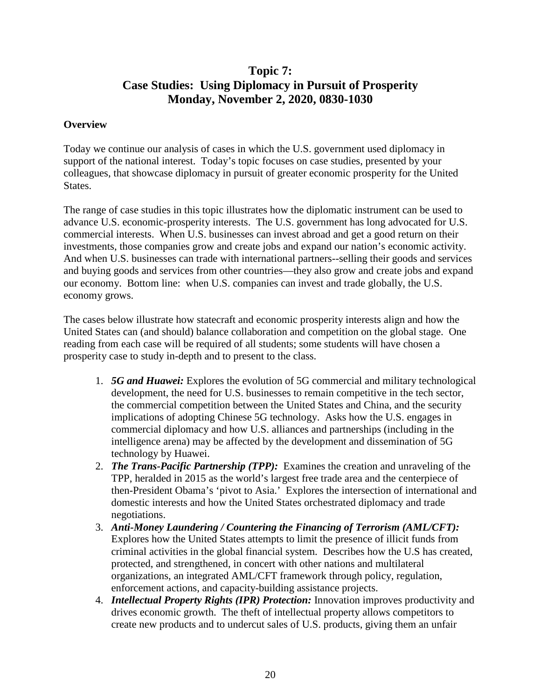# **Topic 7: Case Studies: Using Diplomacy in Pursuit of Prosperity Monday, November 2, 2020, 0830-1030**

### **Overview**

Today we continue our analysis of cases in which the U.S. government used diplomacy in support of the national interest. Today's topic focuses on case studies, presented by your colleagues, that showcase diplomacy in pursuit of greater economic prosperity for the United States.

The range of case studies in this topic illustrates how the diplomatic instrument can be used to advance U.S. economic-prosperity interests. The U.S. government has long advocated for U.S. commercial interests. When U.S. businesses can invest abroad and get a good return on their investments, those companies grow and create jobs and expand our nation's economic activity. And when U.S. businesses can trade with international partners--selling their goods and services and buying goods and services from other countries—they also grow and create jobs and expand our economy. Bottom line: when U.S. companies can invest and trade globally, the U.S. economy grows.

The cases below illustrate how statecraft and economic prosperity interests align and how the United States can (and should) balance collaboration and competition on the global stage. One reading from each case will be required of all students; some students will have chosen a prosperity case to study in-depth and to present to the class.

- 1. *5G and Huawei:* Explores the evolution of 5G commercial and military technological development, the need for U.S. businesses to remain competitive in the tech sector, the commercial competition between the United States and China, and the security implications of adopting Chinese 5G technology. Asks how the U.S. engages in commercial diplomacy and how U.S. alliances and partnerships (including in the intelligence arena) may be affected by the development and dissemination of 5G technology by Huawei.
- 2. *The Trans-Pacific Partnership (TPP):* Examines the creation and unraveling of the TPP, heralded in 2015 as the world's largest free trade area and the centerpiece of then-President Obama's 'pivot to Asia.' Explores the intersection of international and domestic interests and how the United States orchestrated diplomacy and trade negotiations.
- 3. *Anti-Money Laundering / Countering the Financing of Terrorism (AML/CFT):*  Explores how the United States attempts to limit the presence of illicit funds from criminal activities in the global financial system. Describes how the U.S has created, protected, and strengthened, in concert with other nations and multilateral organizations, an integrated AML/CFT framework through policy, regulation, enforcement actions, and capacity-building assistance projects.
- 4. *Intellectual Property Rights (IPR) Protection:* Innovation improves productivity and drives economic growth. The theft of intellectual property allows competitors to create new products and to undercut sales of U.S. products, giving them an unfair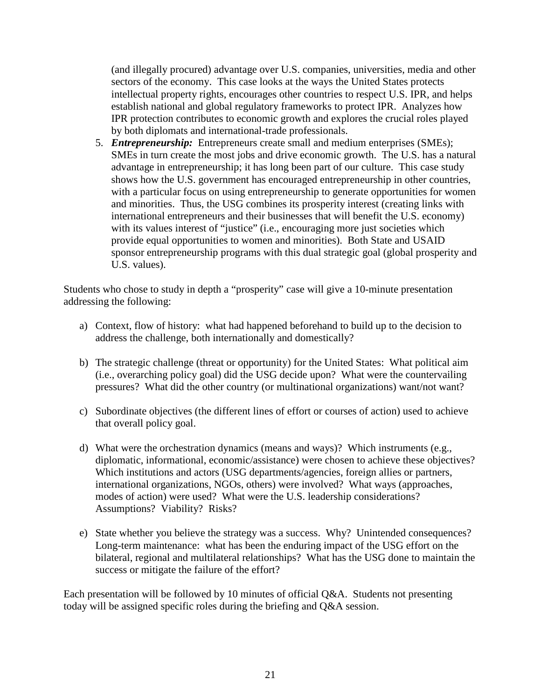(and illegally procured) advantage over U.S. companies, universities, media and other sectors of the economy. This case looks at the ways the United States protects intellectual property rights, encourages other countries to respect U.S. IPR, and helps establish national and global regulatory frameworks to protect IPR. Analyzes how IPR protection contributes to economic growth and explores the crucial roles played by both diplomats and international-trade professionals.

5. *Entrepreneurship:* Entrepreneurs create small and medium enterprises (SMEs); SMEs in turn create the most jobs and drive economic growth. The U.S. has a natural advantage in entrepreneurship; it has long been part of our culture. This case study shows how the U.S. government has encouraged entrepreneurship in other countries, with a particular focus on using entrepreneurship to generate opportunities for women and minorities. Thus, the USG combines its prosperity interest (creating links with international entrepreneurs and their businesses that will benefit the U.S. economy) with its values interest of "justice" (i.e., encouraging more just societies which provide equal opportunities to women and minorities). Both State and USAID sponsor entrepreneurship programs with this dual strategic goal (global prosperity and U.S. values).

Students who chose to study in depth a "prosperity" case will give a 10-minute presentation addressing the following:

- a) Context, flow of history: what had happened beforehand to build up to the decision to address the challenge, both internationally and domestically?
- b) The strategic challenge (threat or opportunity) for the United States: What political aim (i.e., overarching policy goal) did the USG decide upon? What were the countervailing pressures? What did the other country (or multinational organizations) want/not want?
- c) Subordinate objectives (the different lines of effort or courses of action) used to achieve that overall policy goal.
- d) What were the orchestration dynamics (means and ways)? Which instruments (e.g., diplomatic, informational, economic/assistance) were chosen to achieve these objectives? Which institutions and actors (USG departments/agencies, foreign allies or partners, international organizations, NGOs, others) were involved? What ways (approaches, modes of action) were used? What were the U.S. leadership considerations? Assumptions? Viability? Risks?
- e) State whether you believe the strategy was a success. Why? Unintended consequences? Long-term maintenance: what has been the enduring impact of the USG effort on the bilateral, regional and multilateral relationships? What has the USG done to maintain the success or mitigate the failure of the effort?

Each presentation will be followed by 10 minutes of official Q&A. Students not presenting today will be assigned specific roles during the briefing and Q&A session.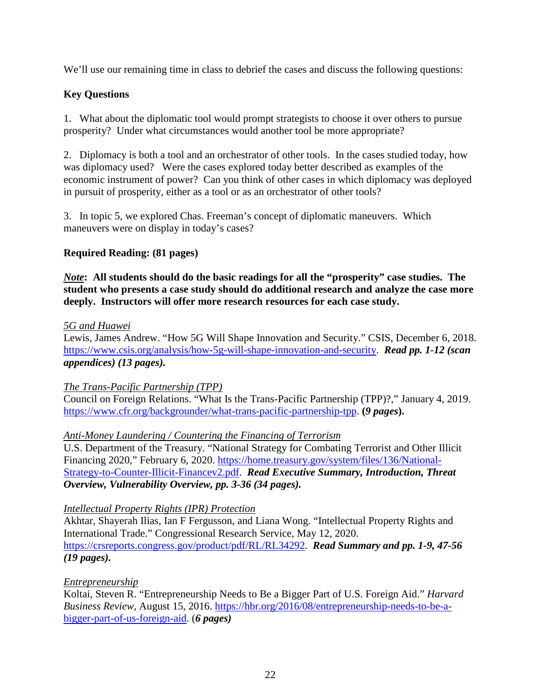We'll use our remaining time in class to debrief the cases and discuss the following questions:

### **Key Questions**

1. What about the diplomatic tool would prompt strategists to choose it over others to pursue prosperity? Under what circumstances would another tool be more appropriate?

2. Diplomacy is both a tool and an orchestrator of other tools. In the cases studied today, how was diplomacy used? Were the cases explored today better described as examples of the economic instrument of power? Can you think of other cases in which diplomacy was deployed in pursuit of prosperity, either as a tool or as an orchestrator of other tools?

3. In topic 5, we explored Chas. Freeman's concept of diplomatic maneuvers. Which maneuvers were on display in today's cases?

### **Required Reading: (81 pages)**

*Note***: All students should do the basic readings for all the "prosperity" case studies. The student who presents a case study should do additional research and analyze the case more deeply. Instructors will offer more research resources for each case study.**

### *5G and Huawei*

Lewis, James Andrew. "How 5G Will Shape Innovation and Security." CSIS, December 6, 2018. [https://www.csis.org/analysis/how-5g-will-shape-innovation-and-security.](https://www.csis.org/analysis/how-5g-will-shape-innovation-and-security) *Read pp. 1-12 (scan appendices) (13 pages).*

### *The Trans-Pacific Partnership (TPP)*

Council on Foreign Relations. "What Is the Trans-Pacific Partnership (TPP)?," January 4, 2019. [https://www.cfr.org/backgrounder/what-trans-pacific-partnership-tpp.](https://www.cfr.org/backgrounder/what-trans-pacific-partnership-tpp) **(***9 pages***).**

### *Anti-Money Laundering / Countering the Financing of Terrorism*

U.S. Department of the Treasury. "National Strategy for Combating Terrorist and Other Illicit Financing 2020," February 6, 2020. [https://home.treasury.gov/system/files/136/National-](https://home.treasury.gov/system/files/136/National-Strategy-to-Counter-Illicit-Financev2.pdf)[Strategy-to-Counter-Illicit-Financev2.pdf.](https://home.treasury.gov/system/files/136/National-Strategy-to-Counter-Illicit-Financev2.pdf) *Read Executive Summary, Introduction, Threat Overview, Vulnerability Overview, pp. 3-36 (34 pages).*

### *Intellectual Property Rights (IPR) Protection*

Akhtar, Shayerah Ilias, Ian F Fergusson, and Liana Wong. "Intellectual Property Rights and International Trade." Congressional Research Service, May 12, 2020. [https://crsreports.congress.gov/product/pdf/RL/RL34292.](https://crsreports.congress.gov/product/pdf/RL/RL34292) *Read Summary and pp. 1-9, 47-56 (19 pages).*

### *Entrepreneurship*

Koltai, Steven R. "Entrepreneurship Needs to Be a Bigger Part of U.S. Foreign Aid." *Harvard Business Review*, August 15, 2016. [https://hbr.org/2016/08/entrepreneurship-needs-to-be-a](https://hbr.org/2016/08/entrepreneurship-needs-to-be-a-bigger-part-of-us-foreign-aid)[bigger-part-of-us-foreign-aid.](https://hbr.org/2016/08/entrepreneurship-needs-to-be-a-bigger-part-of-us-foreign-aid) (*6 pages)*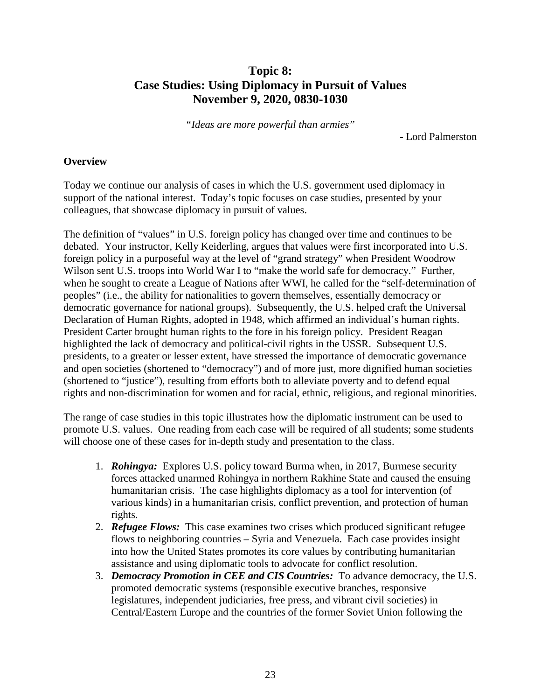## **Topic 8: Case Studies: Using Diplomacy in Pursuit of Values November 9, 2020, 0830-1030**

*"Ideas are more powerful than armies"*

- Lord Palmerston

#### **Overview**

Today we continue our analysis of cases in which the U.S. government used diplomacy in support of the national interest. Today's topic focuses on case studies, presented by your colleagues, that showcase diplomacy in pursuit of values.

The definition of "values" in U.S. foreign policy has changed over time and continues to be debated. Your instructor, Kelly Keiderling, argues that values were first incorporated into U.S. foreign policy in a purposeful way at the level of "grand strategy" when President Woodrow Wilson sent U.S. troops into World War I to "make the world safe for democracy." Further, when he sought to create a League of Nations after WWI, he called for the "self-determination of peoples" (i.e., the ability for nationalities to govern themselves, essentially democracy or democratic governance for national groups). Subsequently, the U.S. helped craft the Universal Declaration of Human Rights, adopted in 1948, which affirmed an individual's human rights. President Carter brought human rights to the fore in his foreign policy. President Reagan highlighted the lack of democracy and political-civil rights in the USSR. Subsequent U.S. presidents, to a greater or lesser extent, have stressed the importance of democratic governance and open societies (shortened to "democracy") and of more just, more dignified human societies (shortened to "justice"), resulting from efforts both to alleviate poverty and to defend equal rights and non-discrimination for women and for racial, ethnic, religious, and regional minorities.

The range of case studies in this topic illustrates how the diplomatic instrument can be used to promote U.S. values. One reading from each case will be required of all students; some students will choose one of these cases for in-depth study and presentation to the class.

- 1. *Rohingya:* Explores U.S. policy toward Burma when, in 2017, Burmese security forces attacked unarmed Rohingya in northern Rakhine State and caused the ensuing humanitarian crisis. The case highlights diplomacy as a tool for intervention (of various kinds) in a humanitarian crisis, conflict prevention, and protection of human rights.
- 2. *Refugee Flows:* This case examines two crises which produced significant refugee flows to neighboring countries – Syria and Venezuela. Each case provides insight into how the United States promotes its core values by contributing humanitarian assistance and using diplomatic tools to advocate for conflict resolution.
- 3. *Democracy Promotion in CEE and CIS Countries:* To advance democracy, the U.S. promoted democratic systems (responsible executive branches, responsive legislatures, independent judiciaries, free press, and vibrant civil societies) in Central/Eastern Europe and the countries of the former Soviet Union following the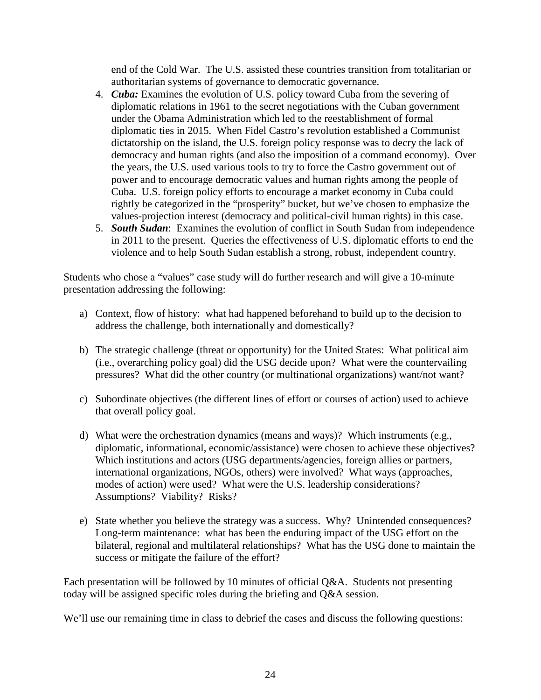end of the Cold War. The U.S. assisted these countries transition from totalitarian or authoritarian systems of governance to democratic governance.

- 4. *Cuba:* Examines the evolution of U.S. policy toward Cuba from the severing of diplomatic relations in 1961 to the secret negotiations with the Cuban government under the Obama Administration which led to the reestablishment of formal diplomatic ties in 2015. When Fidel Castro's revolution established a Communist dictatorship on the island, the U.S. foreign policy response was to decry the lack of democracy and human rights (and also the imposition of a command economy). Over the years, the U.S. used various tools to try to force the Castro government out of power and to encourage democratic values and human rights among the people of Cuba. U.S. foreign policy efforts to encourage a market economy in Cuba could rightly be categorized in the "prosperity" bucket, but we've chosen to emphasize the values-projection interest (democracy and political-civil human rights) in this case.
- 5. *South Sudan*: Examines the evolution of conflict in South Sudan from independence in 2011 to the present. Queries the effectiveness of U.S. diplomatic efforts to end the violence and to help South Sudan establish a strong, robust, independent country.

Students who chose a "values" case study will do further research and will give a 10-minute presentation addressing the following:

- a) Context, flow of history: what had happened beforehand to build up to the decision to address the challenge, both internationally and domestically?
- b) The strategic challenge (threat or opportunity) for the United States: What political aim (i.e., overarching policy goal) did the USG decide upon? What were the countervailing pressures? What did the other country (or multinational organizations) want/not want?
- c) Subordinate objectives (the different lines of effort or courses of action) used to achieve that overall policy goal.
- d) What were the orchestration dynamics (means and ways)? Which instruments (e.g., diplomatic, informational, economic/assistance) were chosen to achieve these objectives? Which institutions and actors (USG departments/agencies, foreign allies or partners, international organizations, NGOs, others) were involved? What ways (approaches, modes of action) were used? What were the U.S. leadership considerations? Assumptions? Viability? Risks?
- e) State whether you believe the strategy was a success. Why? Unintended consequences? Long-term maintenance: what has been the enduring impact of the USG effort on the bilateral, regional and multilateral relationships? What has the USG done to maintain the success or mitigate the failure of the effort?

Each presentation will be followed by 10 minutes of official Q&A. Students not presenting today will be assigned specific roles during the briefing and Q&A session.

We'll use our remaining time in class to debrief the cases and discuss the following questions: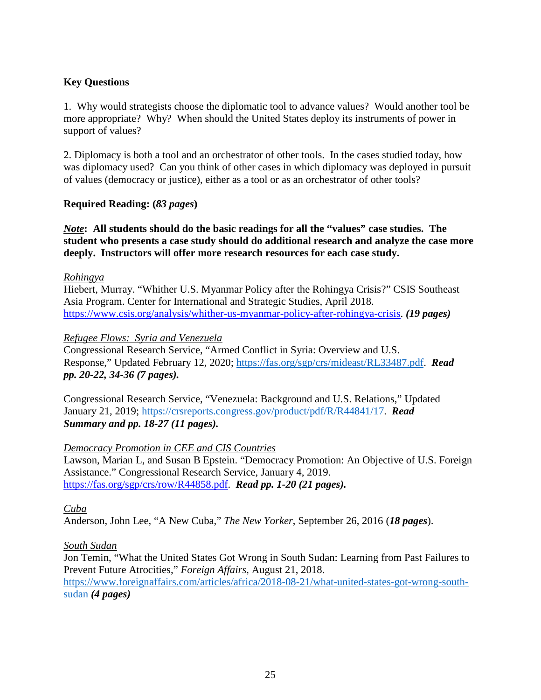### **Key Questions**

1. Why would strategists choose the diplomatic tool to advance values? Would another tool be more appropriate? Why? When should the United States deploy its instruments of power in support of values?

2. Diplomacy is both a tool and an orchestrator of other tools. In the cases studied today, how was diplomacy used? Can you think of other cases in which diplomacy was deployed in pursuit of values (democracy or justice), either as a tool or as an orchestrator of other tools?

### **Required Reading: (***83 pages***)**

*Note***: All students should do the basic readings for all the "values" case studies. The student who presents a case study should do additional research and analyze the case more deeply. Instructors will offer more research resources for each case study.**

### *Rohingya*

Hiebert, Murray. "Whither U.S. Myanmar Policy after the Rohingya Crisis?" CSIS Southeast Asia Program. Center for International and Strategic Studies, April 2018. [https://www.csis.org/analysis/whither-us-myanmar-policy-after-rohingya-crisis.](https://www.csis.org/analysis/whither-us-myanmar-policy-after-rohingya-crisis) *(19 pages)*

### *Refugee Flows: Syria and Venezuela*

Congressional Research Service, "Armed Conflict in Syria: Overview and U.S. Response," Updated February 12, 2020; [https://fas.org/sgp/crs/mideast/RL33487.pdf.](https://fas.org/sgp/crs/mideast/RL33487.pdf) *Read pp. 20-22, 34-36 (7 pages).*

Congressional Research Service, "Venezuela: Background and U.S. Relations," Updated January 21, 2019; [https://crsreports.congress.gov/product/pdf/R/R44841/17.](https://crsreports.congress.gov/product/pdf/R/R44841/17) *Read Summary and pp. 18-27 (11 pages).*

### *Democracy Promotion in CEE and CIS Countries*

Lawson, Marian L, and Susan B Epstein. "Democracy Promotion: An Objective of U.S. Foreign Assistance." Congressional Research Service, January 4, 2019. [https://fas.org/sgp/crs/row/R44858.pdf.](https://fas.org/sgp/crs/row/R44858.pdf) *Read pp. 1-20 (21 pages).*

### *Cuba*

Anderson, John Lee, "A New Cuba," *The New Yorker*, September 26, 2016 (*18 pages*).

### *South Sudan*

Jon Temin, "What the United States Got Wrong in South Sudan: Learning from Past Failures to Prevent Future Atrocities," *Foreign Affairs*, August 21, 2018. [https://www.foreignaffairs.com/articles/africa/2018-08-21/what-united-states-got-wrong-south](https://www.foreignaffairs.com/articles/africa/2018-08-21/what-united-states-got-wrong-south-sudan)[sudan](https://www.foreignaffairs.com/articles/africa/2018-08-21/what-united-states-got-wrong-south-sudan) *(4 pages)*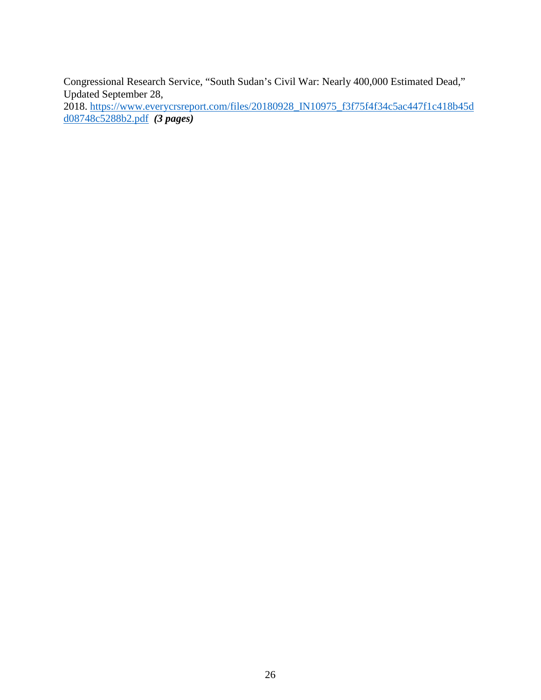Congressional Research Service, "South Sudan's Civil War: Nearly 400,000 Estimated Dead," Updated September 28,

2018. [https://www.everycrsreport.com/files/20180928\\_IN10975\\_f3f75f4f34c5ac447f1c418b45d](https://www.everycrsreport.com/files/20180928_IN10975_f3f75f4f34c5ac447f1c418b45dd08748c5288b2.pdf) [d08748c5288b2.pdf](https://www.everycrsreport.com/files/20180928_IN10975_f3f75f4f34c5ac447f1c418b45dd08748c5288b2.pdf) *(3 pages)*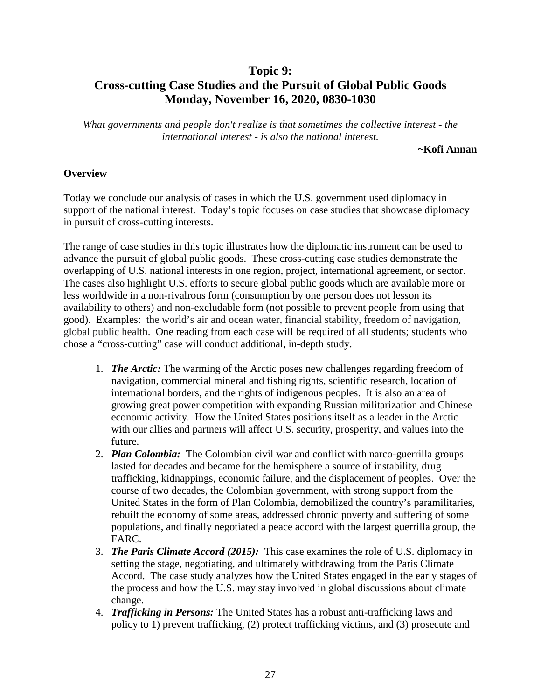# **Topic 9: Cross-cutting Case Studies and the Pursuit of Global Public Goods Monday, November 16, 2020, 0830-1030**

*What governments and people don't realize is that sometimes the collective interest - the international interest - is also the national interest.*

**~Kofi Annan** 

#### **Overview**

Today we conclude our analysis of cases in which the U.S. government used diplomacy in support of the national interest. Today's topic focuses on case studies that showcase diplomacy in pursuit of cross-cutting interests.

The range of case studies in this topic illustrates how the diplomatic instrument can be used to advance the pursuit of global public goods. These cross-cutting case studies demonstrate the overlapping of U.S. national interests in one region, project, international agreement, or sector. The cases also highlight U.S. efforts to secure global public goods which are available more or less worldwide in a non-rivalrous form (consumption by one person does not lesson its availability to others) and non-excludable form (not possible to prevent people from using that good). Examples: the world's air and ocean water, financial stability, freedom of navigation, global public health. One reading from each case will be required of all students; students who chose a "cross-cutting" case will conduct additional, in-depth study.

- 1. *The Arctic:* The warming of the Arctic poses new challenges regarding freedom of navigation, commercial mineral and fishing rights, scientific research, location of international borders, and the rights of indigenous peoples. It is also an area of growing great power competition with expanding Russian militarization and Chinese economic activity. How the United States positions itself as a leader in the Arctic with our allies and partners will affect U.S. security, prosperity, and values into the future.
- 2. *Plan Colombia:* The Colombian civil war and conflict with narco-guerrilla groups lasted for decades and became for the hemisphere a source of instability, drug trafficking, kidnappings, economic failure, and the displacement of peoples. Over the course of two decades, the Colombian government, with strong support from the United States in the form of Plan Colombia, demobilized the country's paramilitaries, rebuilt the economy of some areas, addressed chronic poverty and suffering of some populations, and finally negotiated a peace accord with the largest guerrilla group, the FARC.
- 3. *The Paris Climate Accord (2015):* This case examines the role of U.S. diplomacy in setting the stage, negotiating, and ultimately withdrawing from the Paris Climate Accord. The case study analyzes how the United States engaged in the early stages of the process and how the U.S. may stay involved in global discussions about climate change.
- 4. *Trafficking in Persons:* The United States has a robust anti-trafficking laws and policy to 1) prevent trafficking, (2) protect trafficking victims, and (3) prosecute and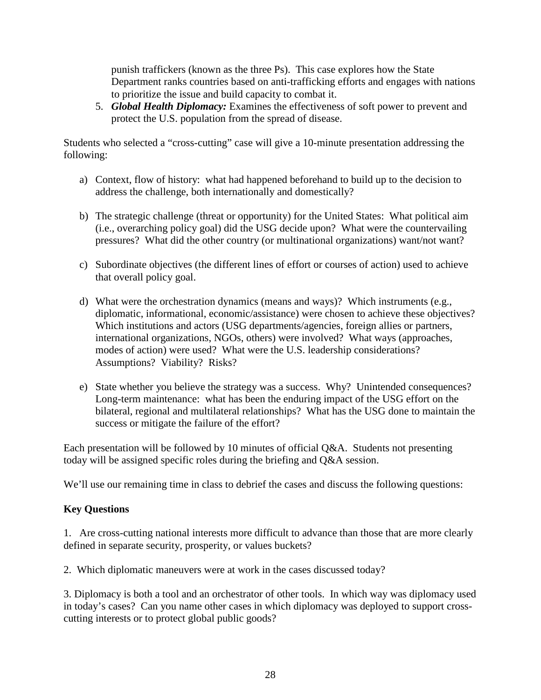punish traffickers (known as the three Ps). This case explores how the State Department ranks countries based on anti-trafficking efforts and engages with nations to prioritize the issue and build capacity to combat it.

5. *Global Health Diplomacy:* Examines the effectiveness of soft power to prevent and protect the U.S. population from the spread of disease.

Students who selected a "cross-cutting" case will give a 10-minute presentation addressing the following:

- a) Context, flow of history: what had happened beforehand to build up to the decision to address the challenge, both internationally and domestically?
- b) The strategic challenge (threat or opportunity) for the United States: What political aim (i.e., overarching policy goal) did the USG decide upon? What were the countervailing pressures? What did the other country (or multinational organizations) want/not want?
- c) Subordinate objectives (the different lines of effort or courses of action) used to achieve that overall policy goal.
- d) What were the orchestration dynamics (means and ways)? Which instruments (e.g., diplomatic, informational, economic/assistance) were chosen to achieve these objectives? Which institutions and actors (USG departments/agencies, foreign allies or partners, international organizations, NGOs, others) were involved? What ways (approaches, modes of action) were used? What were the U.S. leadership considerations? Assumptions? Viability? Risks?
- e) State whether you believe the strategy was a success. Why? Unintended consequences? Long-term maintenance: what has been the enduring impact of the USG effort on the bilateral, regional and multilateral relationships? What has the USG done to maintain the success or mitigate the failure of the effort?

Each presentation will be followed by 10 minutes of official Q&A. Students not presenting today will be assigned specific roles during the briefing and Q&A session.

We'll use our remaining time in class to debrief the cases and discuss the following questions:

## **Key Questions**

1. Are cross-cutting national interests more difficult to advance than those that are more clearly defined in separate security, prosperity, or values buckets?

2. Which diplomatic maneuvers were at work in the cases discussed today?

3. Diplomacy is both a tool and an orchestrator of other tools. In which way was diplomacy used in today's cases? Can you name other cases in which diplomacy was deployed to support crosscutting interests or to protect global public goods?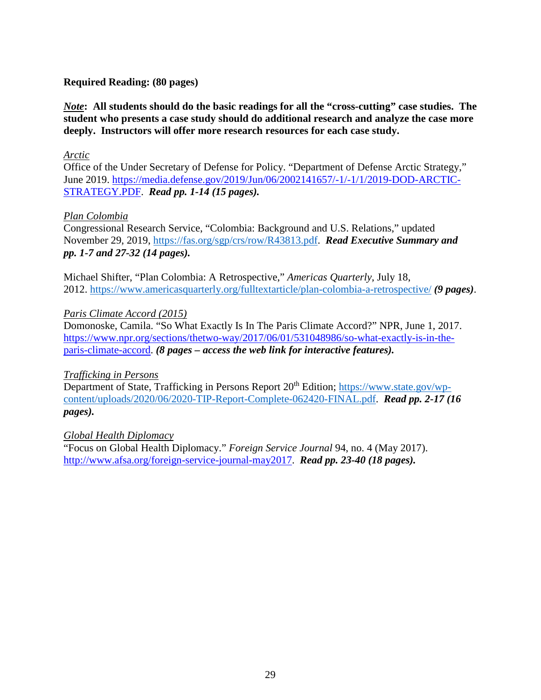### **Required Reading: (80 pages)**

*Note***: All students should do the basic readings for all the "cross-cutting" case studies. The student who presents a case study should do additional research and analyze the case more deeply. Instructors will offer more research resources for each case study.**

### *Arctic*

Office of the Under Secretary of Defense for Policy. "Department of Defense Arctic Strategy," June 2019. [https://media.defense.gov/2019/Jun/06/2002141657/-1/-1/1/2019-DOD-ARCTIC-](https://media.defense.gov/2019/Jun/06/2002141657/-1/-1/1/2019-DOD-ARCTIC-STRATEGY.PDF)[STRATEGY.PDF.](https://media.defense.gov/2019/Jun/06/2002141657/-1/-1/1/2019-DOD-ARCTIC-STRATEGY.PDF) *Read pp. 1-14 (15 pages).*

### *Plan Colombia*

Congressional Research Service, "Colombia: Background and U.S. Relations," updated November 29, 2019, [https://fas.org/sgp/crs/row/R43813.pdf.](https://fas.org/sgp/crs/row/R43813.pdf) *Read Executive Summary and pp. 1-7 and 27-32 (14 pages).*

Michael Shifter, "Plan Colombia: A Retrospective," *Americas Quarterly*, July 18, 2012. <https://www.americasquarterly.org/fulltextarticle/plan-colombia-a-retrospective/> *(9 pages)*.

### *Paris Climate Accord (2015)*

Domonoske, Camila. "So What Exactly Is In The Paris Climate Accord?" NPR, June 1, 2017. [https://www.npr.org/sections/thetwo-way/2017/06/01/531048986/so-what-exactly-is-in-the](https://www.npr.org/sections/thetwo-way/2017/06/01/531048986/so-what-exactly-is-in-the-paris-climate-accord)[paris-climate-accord.](https://www.npr.org/sections/thetwo-way/2017/06/01/531048986/so-what-exactly-is-in-the-paris-climate-accord) *(8 pages – access the web link for interactive features).*

### *Trafficking in Persons*

Department of State, Trafficking in Persons Report 20<sup>th</sup> Edition; [https://www.state.gov/wp](https://www.state.gov/wp-content/uploads/2020/06/2020-TIP-Report-Complete-062420-FINAL.pdf)[content/uploads/2020/06/2020-TIP-Report-Complete-062420-FINAL.pdf.](https://www.state.gov/wp-content/uploads/2020/06/2020-TIP-Report-Complete-062420-FINAL.pdf) *Read pp. 2-17 (16 pages).*

*Global Health Diplomacy*

"Focus on Global Health Diplomacy." *Foreign Service Journal* 94, no. 4 (May 2017). [http://www.afsa.org/foreign-service-journal-may2017.](http://www.afsa.org/foreign-service-journal-may2017) *Read pp. 23-40 (18 pages).*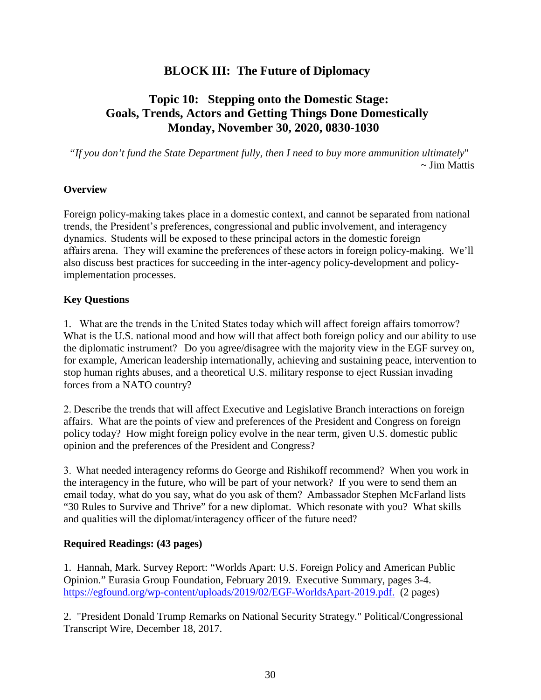## **BLOCK III: The Future of Diplomacy**

## **Topic 10: Stepping onto the Domestic Stage: Goals, Trends, Actors and Getting Things Done Domestically Monday, November 30, 2020, 0830-1030**

*"If you don't fund the State Department fully, then I need to buy more ammunition ultimately*" ~ Jim Mattis

### **Overview**

Foreign policy-making takes place in a domestic context, and cannot be separated from national trends, the President's preferences, congressional and public involvement, and interagency dynamics.  Students will be exposed to these principal actors in the domestic foreign affairs arena. They will examine the preferences of these actors in foreign policy-making. We'll also discuss best practices for succeeding in the inter-agency policy-development and policyimplementation processes.

### **Key Questions**

1. What are the trends in the United States today which will affect foreign affairs tomorrow?  What is the U.S. national mood and how will that affect both foreign policy and our ability to use the diplomatic instrument?   Do you agree/disagree with the majority view in the EGF survey on, for example, American leadership internationally, achieving and sustaining peace, intervention to stop human rights abuses, and a theoretical U.S. military response to eject Russian invading forces from a NATO country?

2. Describe the trends that will affect Executive and Legislative Branch interactions on foreign affairs. What are the points of view and preferences of the President and Congress on foreign policy today? How might foreign policy evolve in the near term, given U.S. domestic public opinion and the preferences of the President and Congress?

3.  What needed interagency reforms do George and Rishikoff recommend? When you work in the interagency in the future, who will be part of your network? If you were to send them an email today, what do you say, what do you ask of them?  Ambassador Stephen McFarland lists "30 Rules to Survive and Thrive" for a new diplomat. Which resonate with you? What skills and qualities will the diplomat/interagency officer of the future need? 

### **Required Readings: (43 pages)**

1. Hannah, Mark. Survey Report: "Worlds Apart: U.S. Foreign Policy and American Public Opinion." Eurasia Group Foundation, February 2019. Executive Summary, pages 3-4. [https://egfound.org/wp-content/uploads/2019/02/EGF-WorldsApart-2019.pdf.](https://egfound.org/wp-content/uploads/2019/02/EGF-WorldsApart-2019.pdf) (2 pages)

2. "President Donald Trump Remarks on National Security Strategy." Political/Congressional Transcript Wire, December 18, 2017.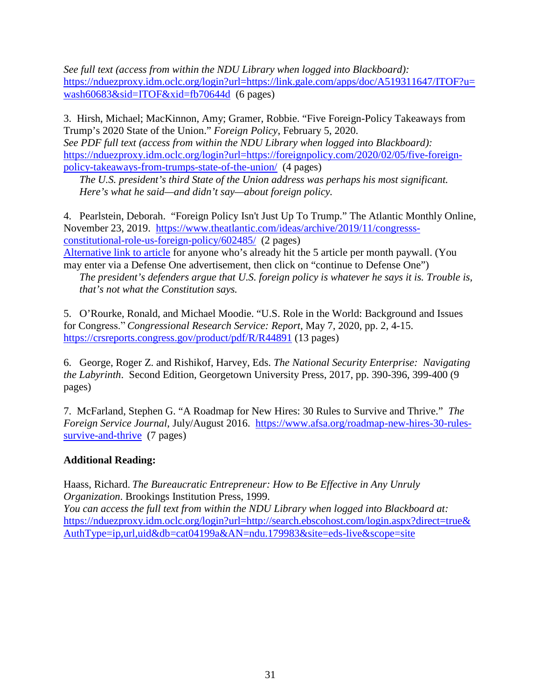*See full text (access from within the NDU Library when logged into Blackboard):* [https://nduezproxy.idm.oclc.org/login?url=https://link.gale.com/apps/doc/A519311647/ITOF?u=](https://nduezproxy.idm.oclc.org/login?url=https://link.gale.com/apps/doc/A519311647/ITOF?u=wash60683&sid=ITOF&xid=fb70644d%20) [wash60683&sid=ITOF&xid=fb70644d](https://nduezproxy.idm.oclc.org/login?url=https://link.gale.com/apps/doc/A519311647/ITOF?u=wash60683&sid=ITOF&xid=fb70644d%20) (6 pages)

3. Hirsh, Michael; MacKinnon, Amy; Gramer, Robbie. "Five Foreign-Policy Takeaways from Trump's 2020 State of the Union." *Foreign Policy*, February 5, 2020. *See PDF full text (access from within the NDU Library when logged into Blackboard):* [https://nduezproxy.idm.oclc.org/login?url=https://foreignpolicy.com/2020/02/05/five-foreign](https://nduezproxy.idm.oclc.org/login?url=https://foreignpolicy.com/2020/02/05/five-foreign-policy-takeaways-from-trumps-state-of-the-union/)[policy-takeaways-from-trumps-state-of-the-union/](https://nduezproxy.idm.oclc.org/login?url=https://foreignpolicy.com/2020/02/05/five-foreign-policy-takeaways-from-trumps-state-of-the-union/) (4 pages)

*The U.S. president's third State of the Union address was perhaps his most significant. Here's what he said—and didn't say—about foreign policy.*

4. Pearlstein, Deborah. "Foreign Policy Isn't Just Up To Trump." The Atlantic Monthly Online, November 23, 2019. [https://www.theatlantic.com/ideas/archive/2019/11/congresss](https://www.theatlantic.com/ideas/archive/2019/11/congresss-constitutional-role-us-foreign-policy/602485/)[constitutional-role-us-foreign-policy/602485/](https://www.theatlantic.com/ideas/archive/2019/11/congresss-constitutional-role-us-foreign-policy/602485/) (2 pages)

[Alternative link to article](https://www.defenseone.com/ideas/2019/11/foreign-policy-isnt-just-trump/161513/) for anyone who's already hit the 5 article per month paywall. (You may enter via a Defense One advertisement, then click on "continue to Defense One")

*The president's defenders argue that U.S. foreign policy is whatever he says it is. Trouble is, that's not what the Constitution says.*

5. O'Rourke, Ronald, and Michael Moodie. "U.S. Role in the World: Background and Issues for Congress." *Congressional Research Service: Report*, May 7, 2020, pp. 2, 4-15. <https://crsreports.congress.gov/product/pdf/R/R44891> (13 pages)

6. George, Roger Z. and Rishikof, Harvey, Eds. *The National Security Enterprise: Navigating the Labyrinth*. Second Edition, Georgetown University Press, 2017, pp. 390-396, 399-400 (9 pages)

7. McFarland, Stephen G. "A Roadmap for New Hires: 30 Rules to Survive and Thrive." *The Foreign Service Journal*, July/August 2016. [https://www.afsa.org/roadmap-new-hires-30-rules](https://www.afsa.org/roadmap-new-hires-30-rules-survive-and-thrive)[survive-and-thrive](https://www.afsa.org/roadmap-new-hires-30-rules-survive-and-thrive) (7 pages)

## **Additional Reading:**

Haass, Richard. *The Bureaucratic Entrepreneur: How to Be Effective in Any Unruly Organization*. Brookings Institution Press, 1999.

*You can access the full text from within the NDU Library when logged into Blackboard at:* [https://nduezproxy.idm.oclc.org/login?url=http://search.ebscohost.com/login.aspx?direct=true&](https://nduezproxy.idm.oclc.org/login?url=http://search.ebscohost.com/login.aspx?direct=true&AuthType=ip,url,uid&db=cat04199a&AN=ndu.179983&site=eds-live&scope=site) [AuthType=ip,url,uid&db=cat04199a&AN=ndu.179983&site=eds-live&scope=site](https://nduezproxy.idm.oclc.org/login?url=http://search.ebscohost.com/login.aspx?direct=true&AuthType=ip,url,uid&db=cat04199a&AN=ndu.179983&site=eds-live&scope=site)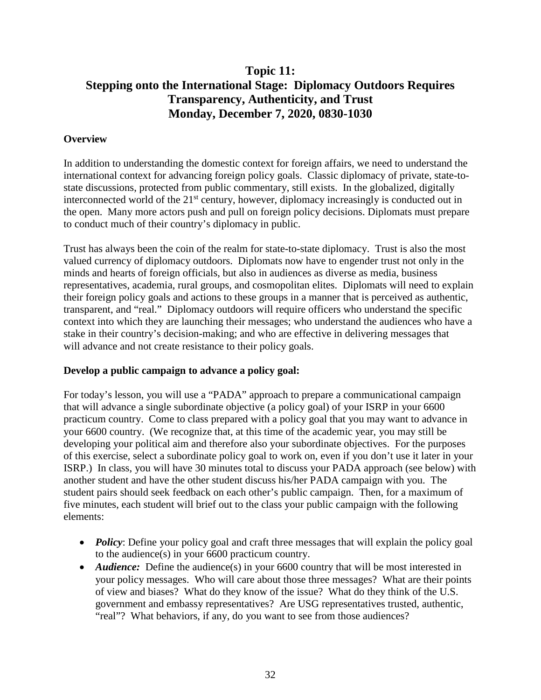# **Topic 11: Stepping onto the International Stage: Diplomacy Outdoors Requires Transparency, Authenticity, and Trust Monday, December 7, 2020, 0830-1030**

### **Overview**

In addition to understanding the domestic context for foreign affairs, we need to understand the international context for advancing foreign policy goals. Classic diplomacy of private, state-tostate discussions, protected from public commentary, still exists. In the globalized, digitally interconnected world of the 21<sup>st</sup> century, however, diplomacy increasingly is conducted out in the open. Many more actors push and pull on foreign policy decisions. Diplomats must prepare to conduct much of their country's diplomacy in public.

Trust has always been the coin of the realm for state-to-state diplomacy. Trust is also the most valued currency of diplomacy outdoors. Diplomats now have to engender trust not only in the minds and hearts of foreign officials, but also in audiences as diverse as media, business representatives, academia, rural groups, and cosmopolitan elites. Diplomats will need to explain their foreign policy goals and actions to these groups in a manner that is perceived as authentic, transparent, and "real." Diplomacy outdoors will require officers who understand the specific context into which they are launching their messages; who understand the audiences who have a stake in their country's decision-making; and who are effective in delivering messages that will advance and not create resistance to their policy goals.

### **Develop a public campaign to advance a policy goal:**

For today's lesson, you will use a "PADA" approach to prepare a communicational campaign that will advance a single subordinate objective (a policy goal) of your ISRP in your 6600 practicum country. Come to class prepared with a policy goal that you may want to advance in your 6600 country. (We recognize that, at this time of the academic year, you may still be developing your political aim and therefore also your subordinate objectives. For the purposes of this exercise, select a subordinate policy goal to work on, even if you don't use it later in your ISRP.) In class, you will have 30 minutes total to discuss your PADA approach (see below) with another student and have the other student discuss his/her PADA campaign with you. The student pairs should seek feedback on each other's public campaign. Then, for a maximum of five minutes, each student will brief out to the class your public campaign with the following elements:

- *Policy*: Define your policy goal and craft three messages that will explain the policy goal to the audience(s) in your 6600 practicum country.
- *Audience:* Define the audience(s) in your 6600 country that will be most interested in your policy messages. Who will care about those three messages? What are their points of view and biases? What do they know of the issue? What do they think of the U.S. government and embassy representatives? Are USG representatives trusted, authentic, "real"? What behaviors, if any, do you want to see from those audiences?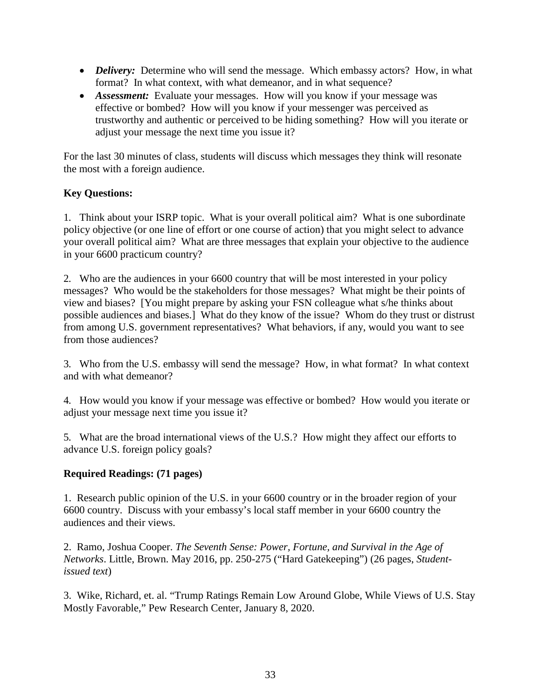- *Delivery:* Determine who will send the message. Which embassy actors? How, in what format? In what context, with what demeanor, and in what sequence?
- *Assessment:* Evaluate your messages. How will you know if your message was effective or bombed? How will you know if your messenger was perceived as trustworthy and authentic or perceived to be hiding something? How will you iterate or adjust your message the next time you issue it?

For the last 30 minutes of class, students will discuss which messages they think will resonate the most with a foreign audience.

### **Key Questions:**

1. Think about your ISRP topic. What is your overall political aim? What is one subordinate policy objective (or one line of effort or one course of action) that you might select to advance your overall political aim? What are three messages that explain your objective to the audience in your 6600 practicum country?

2. Who are the audiences in your 6600 country that will be most interested in your policy messages? Who would be the stakeholders for those messages? What might be their points of view and biases? [You might prepare by asking your FSN colleague what s/he thinks about possible audiences and biases.] What do they know of the issue? Whom do they trust or distrust from among U.S. government representatives? What behaviors, if any, would you want to see from those audiences?

3. Who from the U.S. embassy will send the message? How, in what format? In what context and with what demeanor?

4. How would you know if your message was effective or bombed? How would you iterate or adjust your message next time you issue it?

5. What are the broad international views of the U.S.? How might they affect our efforts to advance U.S. foreign policy goals?

### **Required Readings: (71 pages)**

1. Research public opinion of the U.S. in your 6600 country or in the broader region of your 6600 country. Discuss with your embassy's local staff member in your 6600 country the audiences and their views.

2. Ramo, Joshua Cooper. *The Seventh Sense: Power, Fortune, and Survival in the Age of Networks*. Little, Brown. May 2016, pp. 250-275 ("Hard Gatekeeping") (26 pages, *Studentissued text*)

3. Wike, Richard, et. al. "Trump Ratings Remain Low Around Globe, While Views of U.S. Stay Mostly Favorable," Pew Research Center, January 8, 2020.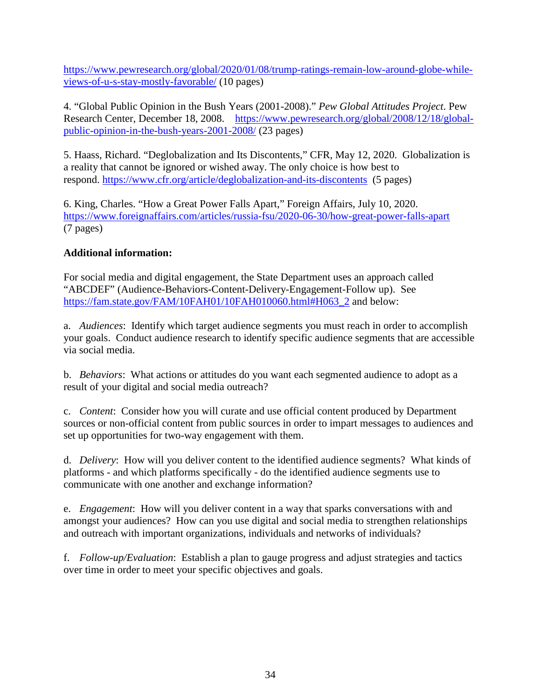[https://www.pewresearch.org/global/2020/01/08/trump-ratings-remain-low-around-globe-while](https://www.pewresearch.org/global/2020/01/08/trump-ratings-remain-low-around-globe-while-views-of-u-s-stay-mostly-favorable/)[views-of-u-s-stay-mostly-favorable/](https://www.pewresearch.org/global/2020/01/08/trump-ratings-remain-low-around-globe-while-views-of-u-s-stay-mostly-favorable/) (10 pages)

4. "Global Public Opinion in the Bush Years (2001-2008)." *Pew Global Attitudes Project*. Pew Research Center, December 18, 2008. [https://www.pewresearch.org/global/2008/12/18/global](https://www.pewresearch.org/global/2008/12/18/global-public-opinion-in-the-bush-years-2001-2008/)[public-opinion-in-the-bush-years-2001-2008/](https://www.pewresearch.org/global/2008/12/18/global-public-opinion-in-the-bush-years-2001-2008/) (23 pages)

5. Haass, Richard. "Deglobalization and Its Discontents," CFR, May 12, 2020. Globalization is a reality that cannot be ignored or wished away. The only choice is how best to respond. <https://www.cfr.org/article/deglobalization-and-its-discontents>(5 pages)

6. King, Charles. "How a Great Power Falls Apart," Foreign Affairs, July 10, 2020. <https://www.foreignaffairs.com/articles/russia-fsu/2020-06-30/how-great-power-falls-apart> (7 pages)

## **Additional information:**

For social media and digital engagement, the State Department uses an approach called "ABCDEF" (Audience-Behaviors-Content-Delivery-Engagement-Follow up). See [https://fam.state.gov/FAM/10FAH01/10FAH010060.html#H063\\_2](https://fam.state.gov/FAM/10FAH01/10FAH010060.html#H063_2) and below:

a. *Audiences*: Identify which target audience segments you must reach in order to accomplish your goals. Conduct audience research to identify specific audience segments that are accessible via social media.

b. *Behaviors*: What actions or attitudes do you want each segmented audience to adopt as a result of your digital and social media outreach?

c. *Content*: Consider how you will curate and use official content produced by Department sources or non-official content from public sources in order to impart messages to audiences and set up opportunities for two-way engagement with them.

d. *Delivery*: How will you deliver content to the identified audience segments? What kinds of platforms - and which platforms specifically - do the identified audience segments use to communicate with one another and exchange information?

e. *Engagement*: How will you deliver content in a way that sparks conversations with and amongst your audiences? How can you use digital and social media to strengthen relationships and outreach with important organizations, individuals and networks of individuals?

f. *Follow-up/Evaluation*: Establish a plan to gauge progress and adjust strategies and tactics over time in order to meet your specific objectives and goals.